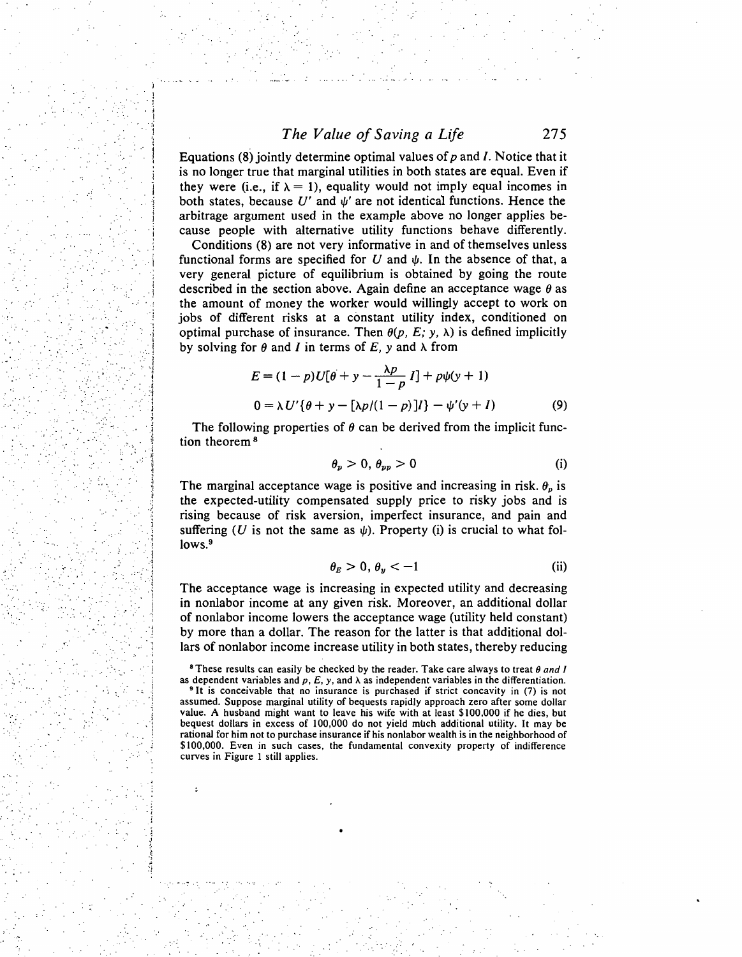Equations (8) jointly determine optimal values of  $p$  and  $I$ . Notice that it is no longer true that marginal utilities in both states are equal. Even if they were (i.e., if  $\lambda = 1$ ), equality would not imply equal incomes in both states, because  $U'$  and  $\psi'$  are not identical functions. Hence the arbitrage argument used in the example above no longer applies because people with alternative utility functions behave differently.

by solving for  $\theta$  and I in terms of E, y and  $\lambda$  from Conditions (8) are not very informative in and of themselves unless functional forms are specified for U and  $\psi$ . In the absence of that, a very general picture of equilibrium is obtained by going the route described in the section above. Again define an acceptance wage  $\theta$  as the amount of money the worker would willingly accept to work on jobs of different risks at a constant utility index, conditioned on optimal purchase of insurance. Then  $\theta(p, E; y, \lambda)$  is defined implicitly

$$
E = (1 - p)U[\theta + y - \frac{\lambda p}{1 - p} I] + p\psi(y + 1)
$$
  

$$
0 = \lambda U' \{\theta + y - [\lambda p/(1 - p)]I\} - \psi'(y + I)
$$
 (9)

The following properties of  $\theta$  can be derived from the implicit function theorem<sup>8</sup>

:1

 $\ddot{z}$ 

 $\frac{1}{2}$ 

$$
\theta_p > 0, \, \theta_{pp} > 0 \tag{i}
$$

The marginal acceptance wage is positive and increasing in risk.  $\theta_p$  is the expected-utility compensated supply price to risky jobs and is rising because of risk aversion, imperfect insurance, and pain and suffering (U is not the same as  $\psi$ ). Property (i) is crucial to what follows.<sup>9</sup>

$$
\theta_E > 0, \, \theta_u < -1 \tag{ii}
$$

The acceptance wage is increasing in expected utility and decreasing in nonlabor income at any given risk. Moreover, an additional dollar of nonlabor income lowers the acceptance wage (utility held constant) by more than a dollar. The reason for the latter is that additional dollars of nonlabor income increase utility in both states, thereby reducing

<sup>8</sup> These results can easily be checked by the reader. Take care always to treat  $\theta$  and I as dependent variables and p, E, y, and  $\lambda$  as independent variables in the differentiation.<br><sup>9</sup> It is conceivable that no insurance is purchased if strict concavity in (7) is not

assumed. Suppose marginal utility of bequests rapidly approach zero after some dollar value. A husband might want to leave his wife with at least \$100,000 if he dies, but bequest dollars in excess of 100,000 do not yield much additional utility. It may be rational for him not to purchase insurance if his nonlabor wealth is in the neighborhood of \$100,000. Even in such cases, the fundamental convexity property of indifference curves in Figure 1 still applies.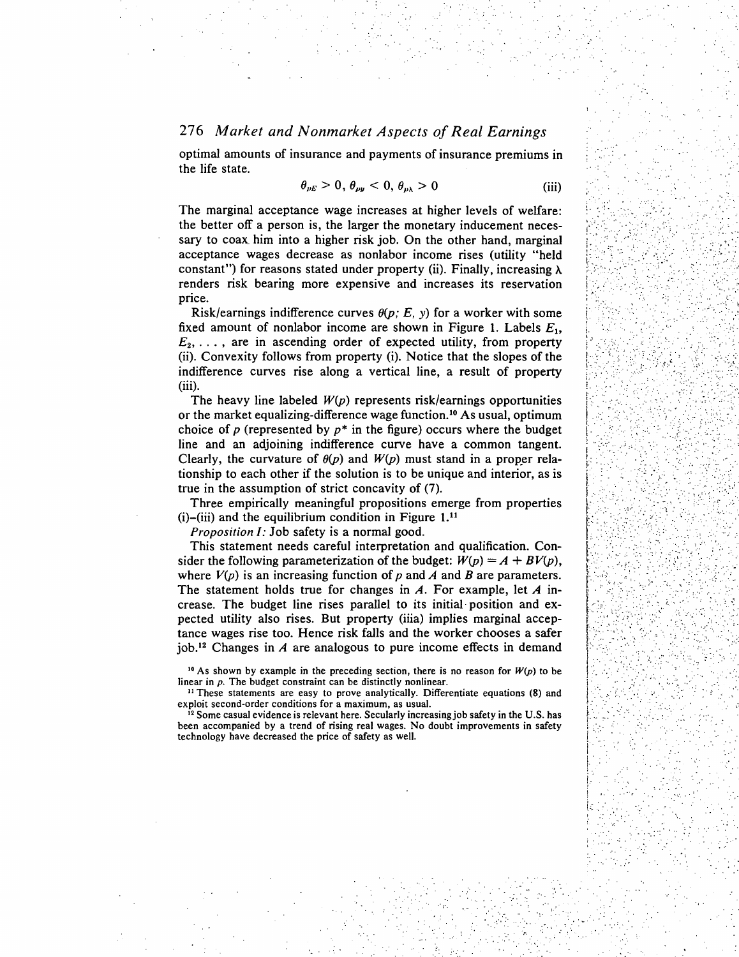optimal amounts of insurance and payments of insurance premiums in the life state.

$$
\theta_{\nu E} > 0, \, \theta_{\nu y} < 0, \, \theta_{\nu \lambda} > 0 \tag{iii}
$$

The marginal acceptance wage increases at higher levels of welfare: the better off a person is, the larger the monetary inducement necessary to coax, him into a higher risk job. On the other hand, marginal acceptance wages decrease as nonlabor income rises (utility "held constant") for reasons stated under property (ii). Finally, increasing  $\lambda$ renders risk bearing more expensive and increases its reservation price.

Risk/earnings indifference curves  $\theta(p; E, y)$  for a worker with some fixed amount of nonlabor income are shown in Figure 1. Labels  $E_1$ ,  $E_2, \ldots$ , are in ascending order of expected utility, from property (ii). Convexity follows from property (i). Notice that the slopes of the indifference curves rise along a vertical line, a result of property (iii).

The heavy line labeled  $W(p)$  represents risk/earnings opportunities or the market equalizing-difference wage function.<sup>10</sup> As usual, optimum choice of p (represented by  $p^*$  in the figure) occurs where the budget line and an adjoining indifference curve have a common tangent. Clearly, the curvature of  $\theta(p)$  and  $W(p)$  must stand in a proper relationship to each other if the solution is to be unique and interior, as is true in the assumption of strict concavity of (7).

Three empirically meaningful propositions emerge from properties  $(i)$ –(iii) and the equilibrium condition in Figure 1.<sup>11</sup>

Proposition I: Job safety is a normal good.

This statement needs careful interpretation and qualification. Consider the following parameterization of the budget:  $W(p) = A + BV(p)$ , where  $V(p)$  is an increasing function of p and A and B are parameters. The statement holds true for changes in  $A$ . For example, let  $A$  increase. The budget line rises parallel to its initial' position and expected utility also rises. But property (iiia) implies marginal acceptance wages rise too. Hence risk falls and the worker chooses a safer  $j$ <sub>0</sub>b.<sup>12</sup> Changes in A are analogous to pure income effects in demand

<sup>10</sup> As shown by example in the preceding section, there is no reason for  $W(p)$  to be linear in p. The budget constraint can be distinctly nonlinear.

<sup>11</sup> These statements are easy to prove analytically. Differentiate equations (8) and exploit second-order conditions for a maximum, as usual.

 $12$  Some casual evidence is relevant here. Secularly increasing job safety in the U.S. has been accompanied by a trend of rising real wages. No doubt improvements in safety technology have decreased the price of safety as well.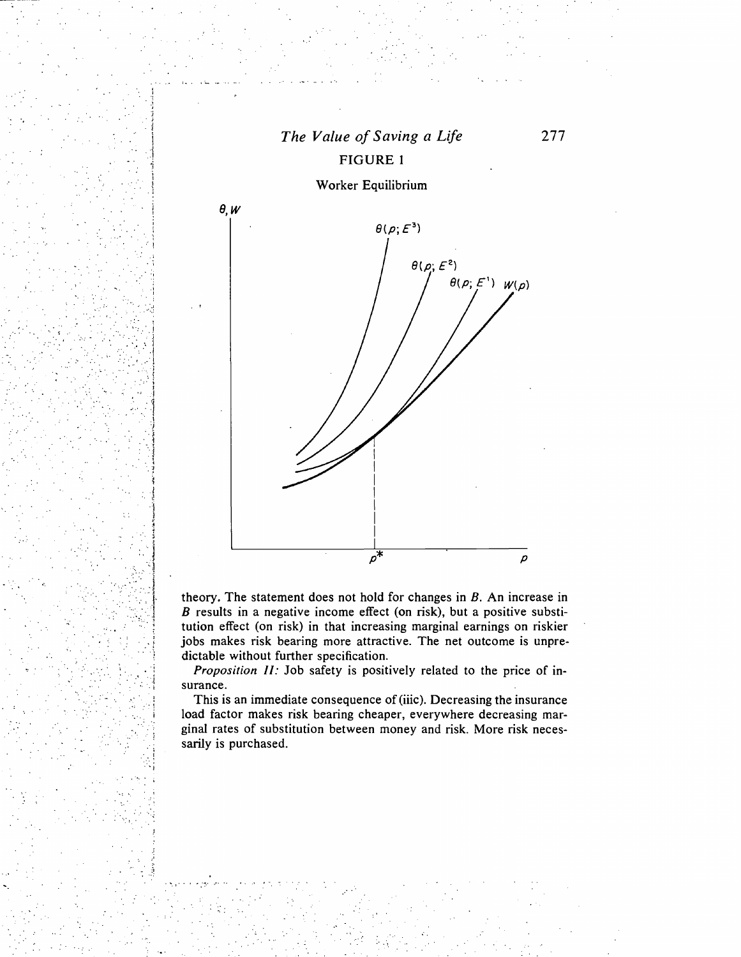





theory. The statement does not hold for changes in B. An increase in B results in a negative income effect (on risk), but a positive substitution effect (on risk) in that increasing marginal earnings on riskier jobs makes risk bearing more attractive. The net outcome is unpredictable without further specification.

I

•1•

Proposition II: Job safety is positively related to the price of insurance.

This is an immediate consequence of (iiic). Decreasing the insurance load factor makes risk bearing cheaper, everywhere decreasing marginal rates of substitution between money and risk. More risk necessarily is purchased.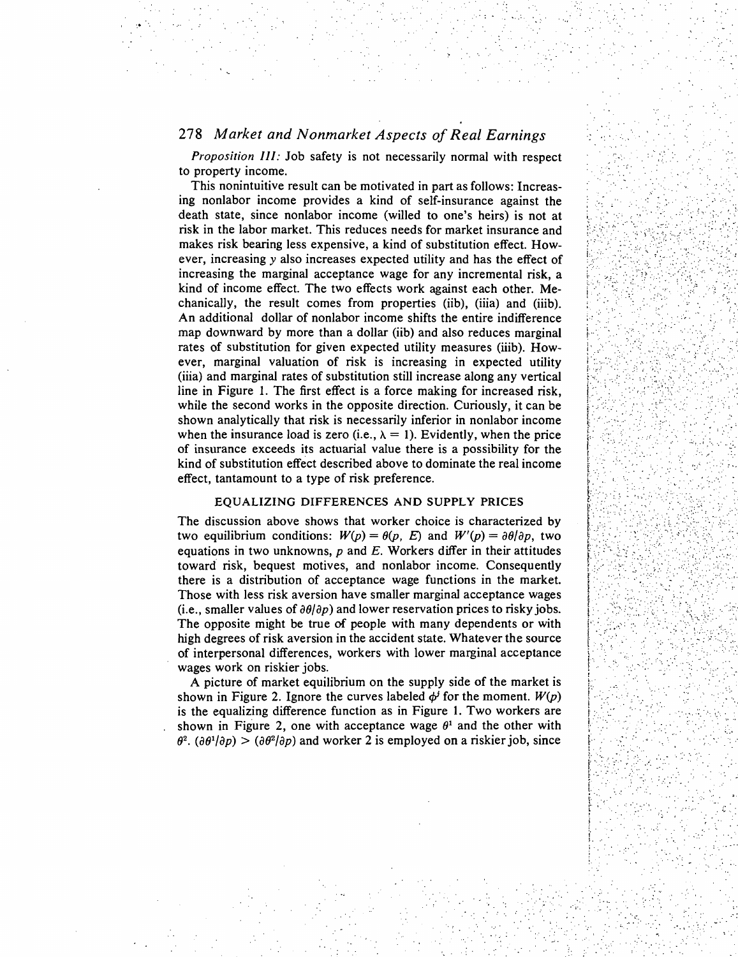Proposition III: Job safety is not necessarily normal with respect to property income.

This nonintuitive result can be motivated in part as follows: Increasing nonlabor income provides a kind of self-insurance against the death state, since nonlabor income (willed to one's heirs) is not at risk in the labor market. This reduces needs for market insurance and makes risk bearing less expensive, a kind of substitution effect. However, increasing y also increases expected utility and has the effect of increasing the marginal acceptance wage for any incremental risk, a kind of income effect. The two effects work against each other. Mechanically, the result comes from properties (iib), (iiia) and (iiib). An additional dollar of nonlabor income shifts the entire indifference map downward by more than a dollar (iib) and also reduces marginal rates of substitution for given expected utility measures (iiib). However, marginal valuation of risk is increasing in expected utility (iiia) and marginal rates of substitution still increase along any vertical line in Figure 1. The first effect is a force making for increased risk, while the second works in the opposite direction. Curiously, it can be shown analytically that risk is necessarily inferior in nonlabor income when the insurance load is zero (i.e.,  $\lambda = 1$ ). Evidently, when the price of insurance exceeds its actuarial value there is a possibility for the kind of substitution effect described above to dominate the real income effect, tantamount to a type of risk preference.

#### EQUALIZING DIFFERENCES AND SUPPLY PRICES

The discussion above shows that worker choice is characterized by two equilibrium conditions:  $W(p) = \theta(p, E)$  and  $W'(p) = \partial \theta/\partial p$ , two equations in two unknowns,  $p$  and  $E$ . Workers differ in their attitudes toward risk, bequest motives, and nonlabor income. Consequently there is a distribution of acceptance wage functions in the market. Those with less risk aversion have smaller marginal acceptance wages (i.e., smaller values of  $\partial \theta/\partial p$ ) and lower reservation prices to risky jobs. The opposite might be true of people with many dependents or with high degrees of risk aversion in the accident state. Whatever the source of interpersonal differences, workers with lower marginal acceptance wages work on riskier jobs.

A picture of market equilibrium on the supply side of the market is shown in Figure 2. Ignore the curves labeled  $\phi^j$  for the moment.  $W(p)$ is the equalizing difference function as in Figure 1. Two workers are shown in Figure 2, one with acceptance wage  $\theta^1$  and the other with  $\theta^2$ . ( $\partial \theta^1/\partial p$ )  $>$  ( $\partial \theta^2/\partial p$ ) and worker 2 is employed on a riskier job, since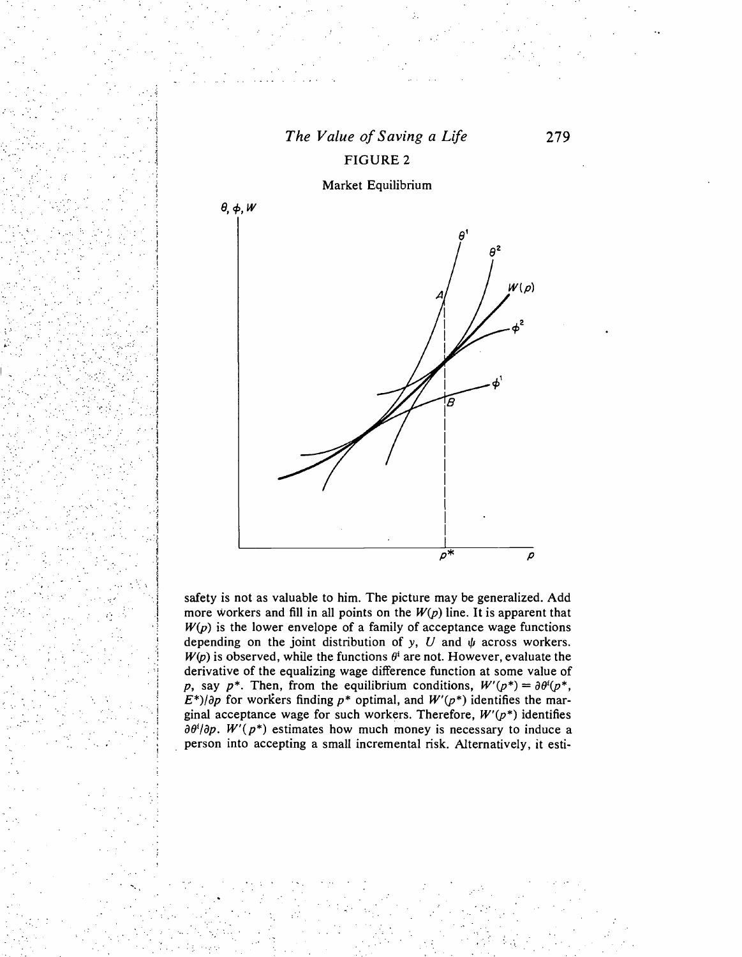



-.•

safety is not as valuable to him. The picture may be generalized. Add more workers and fill in all points on the  $W(p)$  line. It is apparent that  $W(p)$  is the lower envelope of a family of acceptance wage functions depending on the joint distribution of y, U and  $\psi$  across workers.  $W(p)$  is observed, while the functions  $\theta^i$  are not. However, evaluate the derivative of the equalizing wage difference function at some value of p, say p<sup>\*</sup>. Then, from the equilibrium conditions,  $W'(p^*) = \partial \theta^i(p^*)$ ,  $E^*$ )/ $\partial p$  for workers finding  $p^*$  optimal, and  $W'(p^*)$  identifies the marginal acceptance wage for such workers. Therefore,  $W'(p^*)$  identifies  $\partial \theta^i/\partial p$ .  $W'(p^*)$  estimates how much money is necessary to induce a person into accepting a small incremental risk. Alternatively, it esti-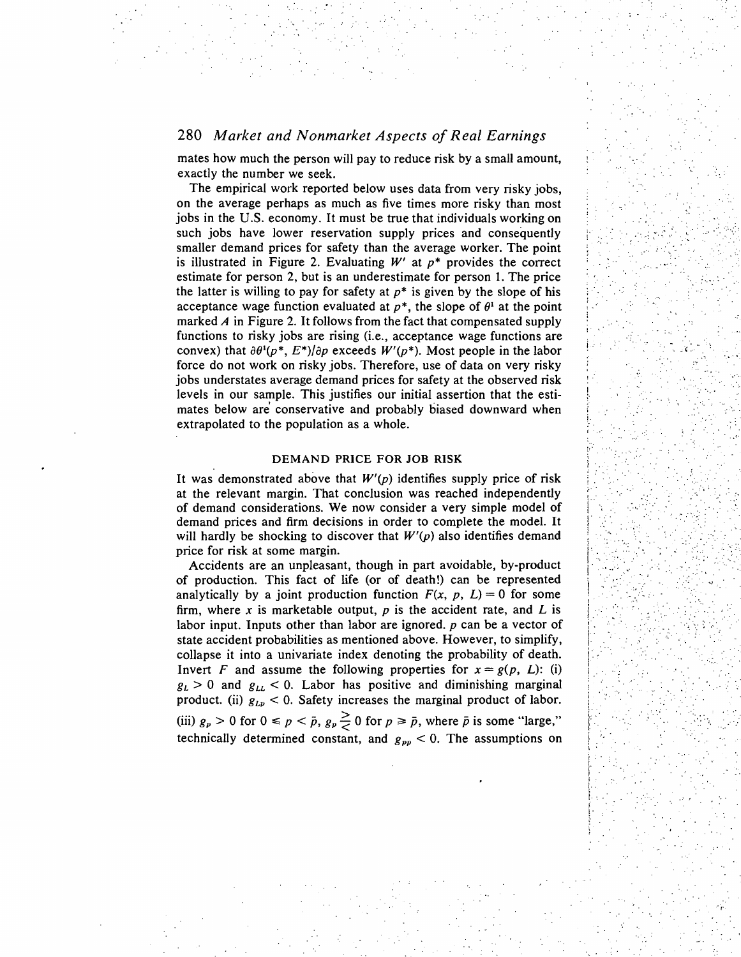mates how much the person will pay to reduce risk by a small amount, exactly the number we seek.

The empirical work reported below uses data from very risky jobs, on the average perhaps as much as five times more risky than most iobs in the U.S. economy. It must be true that individuals working on such jobs have lower reservation supply prices and consequently smaller demand prices for safety than the average worker. The point is illustrated in Figure 2. Evaluating  $W'$  at  $p^*$  provides the correct estimate for person 2, but is an underestimate for person 1. The price the latter is willing to pay for safety at  $p^*$  is given by the slope of his acceptance wage function evaluated at  $p^*$ , the slope of  $\theta^1$  at the point marked  $\vec{A}$  in Figure 2. It follows from the fact that compensated supply functions to risky jobs are rising (i.e., acceptance wage functions are convex) that  $\partial \theta^{1}(p^*, E^*)/\partial p$  exceeds  $W'(p^*)$ . Most people in the labor force do not work on risky jobs. Therefore, use of data on very risky jobs understates average demand prices for safety at the observed risk levels in our sample. This justifies our initial assertion that the estimates below are conservative and probably biased downward when extrapolated to the population as a whole.

#### DEMAND PRICE FOR JOB RISK

It was demonstrated above that  $W'(p)$  identifies supply price of risk at the relevant margin. That conclusion was reached independently of demand considerations. We now consider a very simple model of demand prices and firm decisions in order to complete the model. It will hardly be shocking to discover that  $W'(p)$  also identifies demand price for risk at some margin.

Accidents are an unpleasant, though in part avoidable, by-product of production. This fact of life (or of death!) can be represented analytically by a joint production function  $F(x, p, L) = 0$  for some firm, where x is marketable output,  $p$  is the accident rate, and  $L$  is labor input. Inputs other than labor are ignored.  $p$  can be a vector of state accident probabilities as mentioned above. However, to simplify, collapse it into a univariate index denoting the probability of death. Invert F and assume the following properties for  $x = g(p, L)$ : (i)  $g_L > 0$  and  $g_{LL} < 0$ . Labor has positive and diminishing marginal product. (ii)  $g_{\mu}$  < 0. Safety increases the marginal product of labor. (iii)  $g_p > 0$  for  $0 \le p \le \bar{p}$ ,  $g_p \ge 0$  for  $p \ge \bar{p}$ , where  $\bar{p}$  is some "large," technically determined constant, and  $g_{pp} < 0$ . The assumptions on

1•

• •.. • •.. . . .•.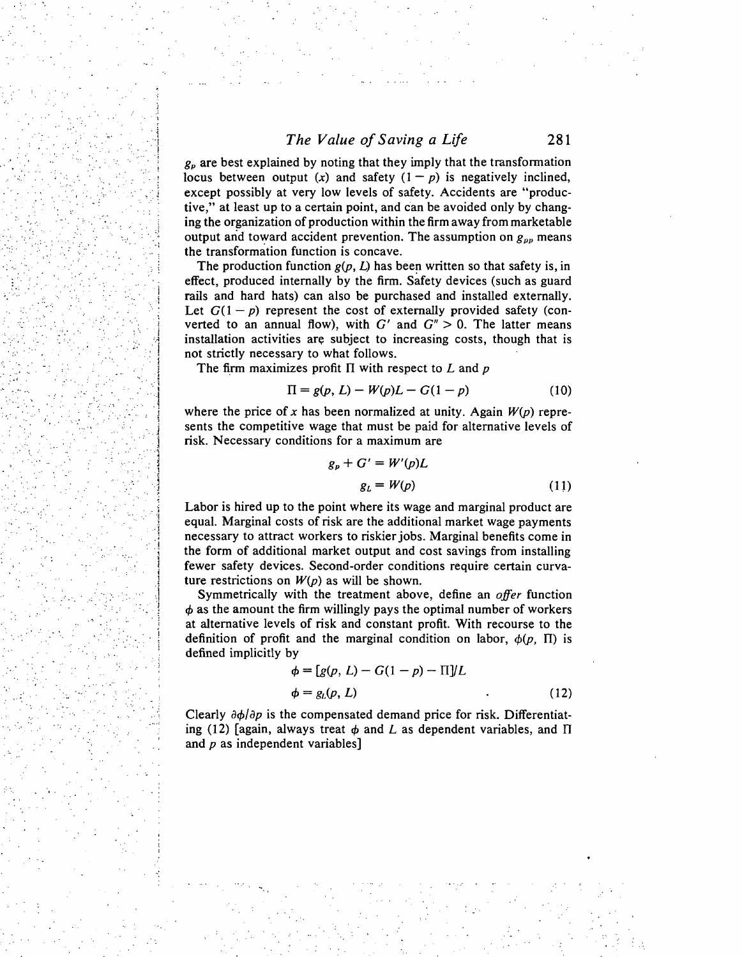$g_p$  are best explained by noting that they imply that the transformation locus between output (x) and safety  $(1 - p)$  is negatively inclined, except possibly at very low levels of safety. Accidents are "productive," at least up to a certain point, and can be avoided only by changing the organization of production within the firm away from marketable output and toward accident prevention. The assumption on  $g_{\mu\nu}$  means the transformation function is concave.

The production function  $g(p, L)$  has been written so that safety is, in effect, produced internally by the firm. Safety devices (such as guard rails and hard hats) can also be purchased and installed externally. Let  $G(1-p)$  represent the cost of externally provided safety (converted to an annual flow), with G' and  $G'' > 0$ . The latter means installation activities are subject to increasing costs, though that is not strictly necessary to what follows.

The firm maximizes profit  $\Pi$  with respect to  $L$  and  $p$ 

$$
\Pi = g(p, L) - W(p)L - G(1 - p)
$$
 (10)

 $\Pi = g(p, L) - W(p)L - G(1 - p)$  (10)<br>where the price of x has been normalized at unity. Again  $W(p)$  represents the competitive wage that must be paid for alternative levels of risk. Necessary conditions for a maximum are

$$
g_p + G' = W'(p)L
$$
  

$$
g_L = W(p) \tag{11}
$$

Labor is hired up to the point where its wage and marginal product are equal. Marginal costs of risk are the additional market wage payments necessary to attract workers to riskier jobs. Marginal benefits come in the form of additional market output and cost savings from installing fewer safety devices. Second-order conditions require certain curvature restrictions on  $W(p)$  as will be shown.

Symmetrically with the treatment above, define an offer function  $\phi$  as the amount the firm willingly pays the optimal number of workers at alternative levels of risk and constant profit. With recourse to the definition of profit and the marginal condition on labor,  $\phi(p, \Pi)$  is defined implicitly by

$$
\phi = [g(p, L) - G(1 - p) - \Pi]/L \n\phi = g_L(p, L)
$$
\n(12)

Clearly  $\partial \phi / \partial p$  is the compensated demand price for risk. Differentiating (12) [again, always treat  $\phi$  and L as dependent variables, and  $\Pi$ and  $p$  as independent variables]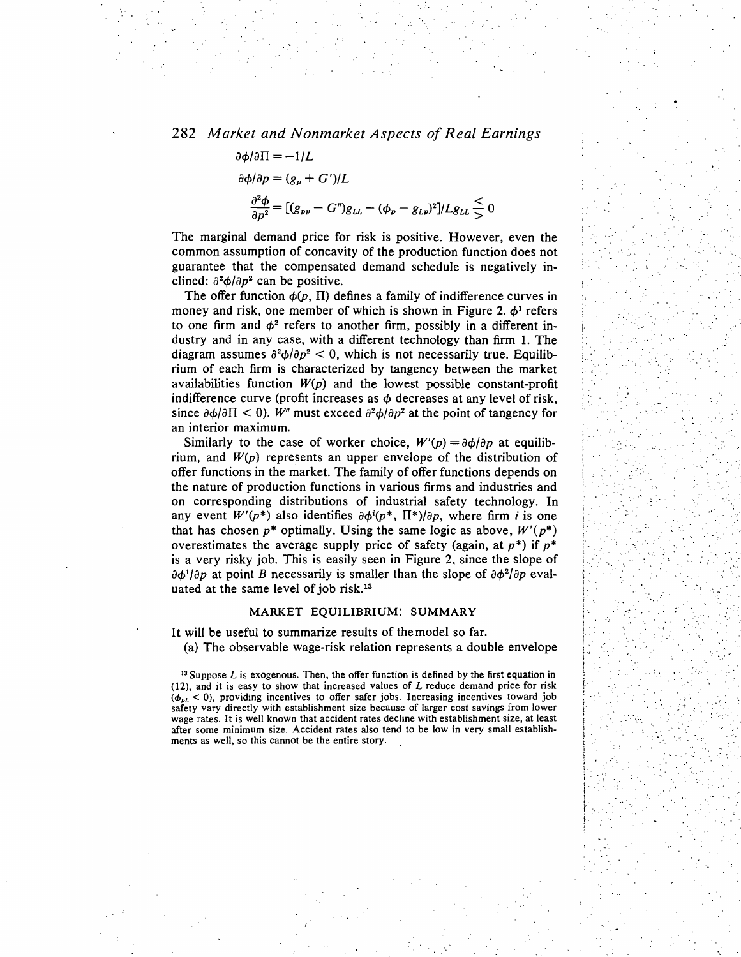$$
\partial \phi / \partial \Pi = -1/L
$$
  
\n
$$
\partial \phi / \partial p = (g_p + G')/L
$$
  
\n
$$
\frac{\partial^2 \phi}{\partial p^2} = [(g_{pp} - G'')g_{LL} - (\phi_p - g_{Lp})^2]/Lg_{LL} \leq 0
$$

The marginal demand price for risk is positive. However, even the common assumption of concavity of the production function does not guarantee that the compensated demand schedule is negatively inclined:  $\partial^2 \phi / \partial p^2$  can be positive.

The offer function  $\phi(p, \Pi)$  defines a family of indifference curves in money and risk, one member of which is shown in Figure 2.  $\phi$ <sup>1</sup> refers to one firm and  $\phi^2$  refers to another firm, possibly in a different industry and in any case, with a different technology than firm 1. The diagram assumes  $\partial^2 \phi / \partial p^2 < 0$ , which is not necessarily true. Equilibrium of each firm is characterized by tangency between the market availabilities function  $W(p)$  and the lowest possible constant-profit indifference curve (profit increases as  $\phi$  decreases at any level of risk, since  $\partial \phi / \partial \Pi$  < 0). W'' must exceed  $\partial^2 \phi / \partial p^2$  at the point of tangency for an interior maximum.

Similarly to the case of worker choice,  $W'(p) = \partial \phi / \partial p$  at equilibrium, and  $W(p)$  represents an upper envelope of the distribution of offer functions in the market. The family of offer functions depends on the nature of production functions in various firms and industries and on corresponding distributions of industrial safety technology. In any event  $W'(p^*)$  also identifies  $\partial \phi^i(p^*, \Pi^*)/\partial p$ , where firm *i* is one that has chosen  $p^*$  optimally. Using the same logic as above,  $W'(p^*)$ overestimates the average supply price of safety (again, at  $p^*$ ) if  $p^*$ is a very risky job. This is easily seen in Figure 2, since the slope of  $\partial \phi^1/\partial p$  at point B necessarily is smaller than the slope of  $\partial \phi^2/\partial p$  evaluated at the same level of job risk.13

#### MARKET EQUILIBRIUM: SUMMARY

It will be useful to summarize results of the model so far.

(a) The observable wage-risk relation represents a double envelope

 $13$  Suppose L is exogenous. Then, the offer function is defined by the first equation in  $(12)$ , and it is easy to show that increased values of L reduce demand price for risk  $(\phi_{\nu L} < 0)$ , providing incentives to offer safer jobs. Increasing incentives toward job safety vary directly with establishment size because of larger cost savings from lower wage rates. It is well known that accident rates decline with establishment size, at least after some minimum size. Accident rates also tend to be low in very small establishments as well, so this cannot be the entire story.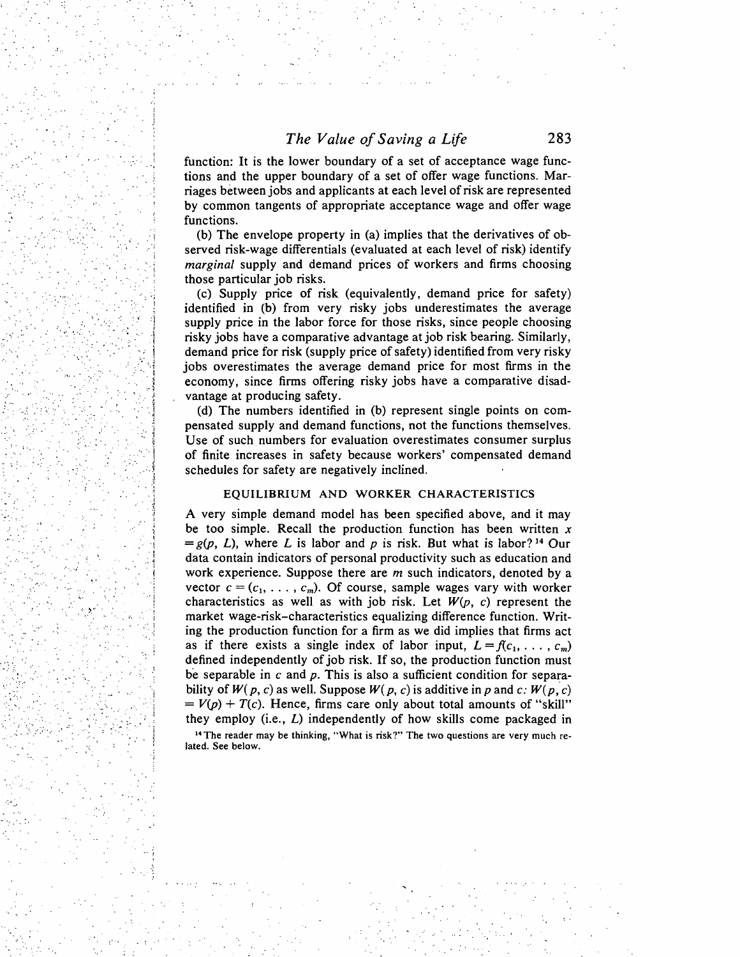function: It is the lower boundary of a set of acceptance wage functions and the upper boundary of a set of offer wage functions. Marriages between jobs and applicants at each level of risk are represented

functions. (b) The envelope property in (a) implies that the derivatives of observed risk-wage differentials (evaluated at each level of risk) identify marginal supply and demand prices of workers and firms choosing

those particular job risks.

by common tangents of appropriate acceptance wage and offer wage

(c) Supply price of risk (equivalently, demand price for safety) identified in (b) from very risky jobs underestimates the average supply price in the labor force for those risks, since people choosing risky jobs have a comparative advantage at job risk bearing. Similarly, demand price for risk (supply price of safety) identified from very risky jobs overestimates the average demand price for most firms in the economy, since firms offering risky jobs have a comparative disadvantage at producing safety.

(d) The numbers identified in (b) represent single points on compensated supply and demand functions, not the functions themselves. Use of such numbers for evaluation overestimates consumer surplus of finite increases in safety because workers' compensated demand schedules for safety are negatively inclined.

#### EQUILIBRIUM AND WORKER CHARACTERISTICS

A very simple demand model has been specified above, and it may be too simple. Recall the production function has been written x =  $g(p, L)$ , where L is labor and p is risk. But what is labor? <sup>14</sup> Our data contain indicators of personal productivity such as education and work experience. Suppose there are  $m$  such indicators, denoted by a vector  $c = (c_1, \ldots, c_m)$ . Of course, sample wages vary with worker characteristics as well as with job risk. Let  $W(p, c)$  represent the market wage-risk—characteristics equalizing difference function. Writing the production function for a firm as we did implies that firms act as if there exists a single index of labor input,  $L = f(c_1, \ldots, c_m)$ defined independently of job risk. If so, the production function must be separable in  $c$  and  $p$ . This is also a sufficient condition for separability of  $W(p, c)$  as well. Suppose  $W(p, c)$  is additive in p and c:  $W(p, c) = V(p) + T(c)$ . Hence, firms care only about total amounts of "skill" they employ (i.e., L) independently of how skills come packaged in

14The reader may be thinking, "What is risk?" The two questions are very much related. See below.

 $\frac{1}{2}$ .

 $\frac{1}{2}$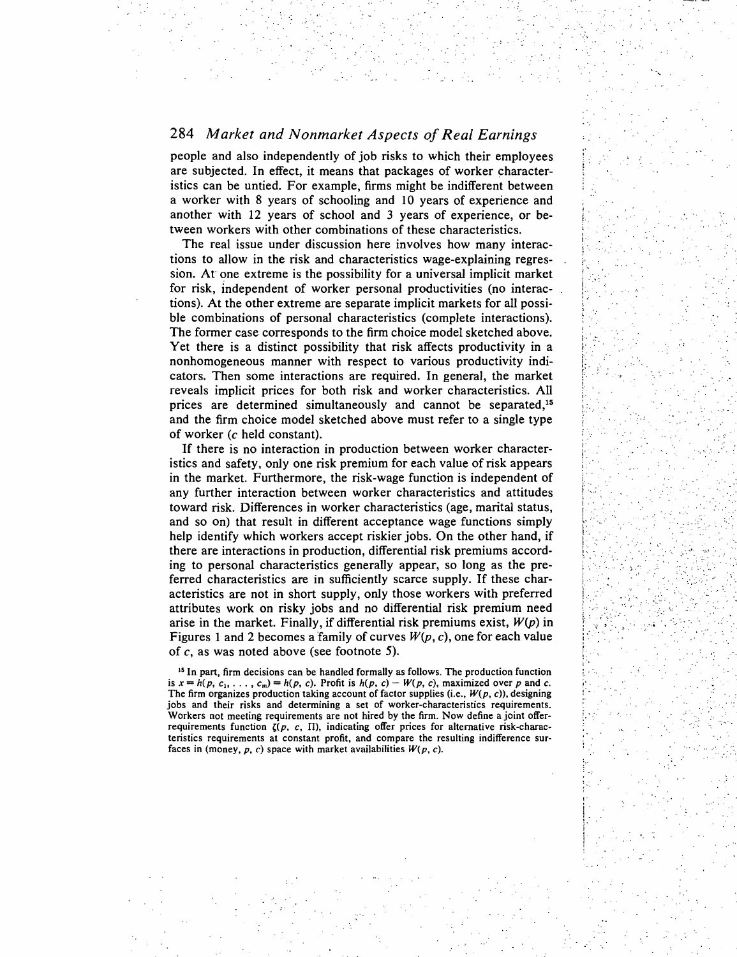people and also independently of job risks to which their employees are subjected. In effect, it means that packages of worker characteristics can be untied. For example, firms might be indifferent between a worker with 8 years of schooling and 10 years of experience and another with 12 years of school and 3 years of experience, or between workers with other combinations of these characteristics.

The real issue under discussion here involves how many interactions to allow in the risk and characteristics wage-explaining regression. At one extreme is the possibility for a universal implicit market for risk, independent of worker personal productivities (no interactions). At the other extreme are separate implicit markets for all possible combinations of personal characteristics (complete interactions). The former case corresponds to the firm choice model sketched above. Yet there is a distinct possibility that risk affects productivity in a nonhomogeneous manner with respect to various productivity indicators. Then some interactions are required. In general, the market reveals implicit prices for both risk and worker characteristics. All prices are determined simultaneously and cannot be separated,'5 and the firm choice model sketched above must refer to a single type of worker (c held constant).

H. . .

 $\hat{\mathcal{C}}_k$ 

 $\cdot$  .

5-

If there is no interaction in production between worker characteristics and safety, only one risk premium for each value of risk appears in the market. Furthermore, the risk-wage function is independent of any further interaction between worker characteristics and attitudes toward risk. Differences in worker characteristics (age, marital status, and so on) that result in different acceptance wage functions simply help identify which workers accept riskier jobs. On the other hand, if there are interactions in production, differential risk premiums according to personal characteristics generally appear, so long as the preferred characteristics are in sufficiently scarce supply. If these characteristics are not in short supply, only those workers with preferred attributes work on risky jobs and no differential risk premium need arise in the market. Finally, if differential risk premiums exist,  $W(p)$  in Figures 1 and 2 becomes a family of curves  $W(p, c)$ , one for each value of c, as was noted above (see footnote 5).

<sup>15</sup> In part, firm decisions can be handled formally as follows. The production function is  $x = h(p, c_1, \ldots, c_m) = h(p, c)$ . Profit is  $h(p, c) - W(p, c)$ , maximized over p and c. The firm organizes production taking account of factor supplies (i.e.,  $W(p, c)$ ), designing jobs and their risks and determining a set of worker-characteristics requirements. Workers not meeting requirements are not hired by the firm. Now define a joint offerrequirements function  $\zeta(p, c, \Pi)$ , indicating offer prices for alternative risk-characteristics requirements at constant profit, and compare the resulting indifference surfaces in (money,  $p$ ,  $c$ ) space with market availabilities  $W(p, c)$ .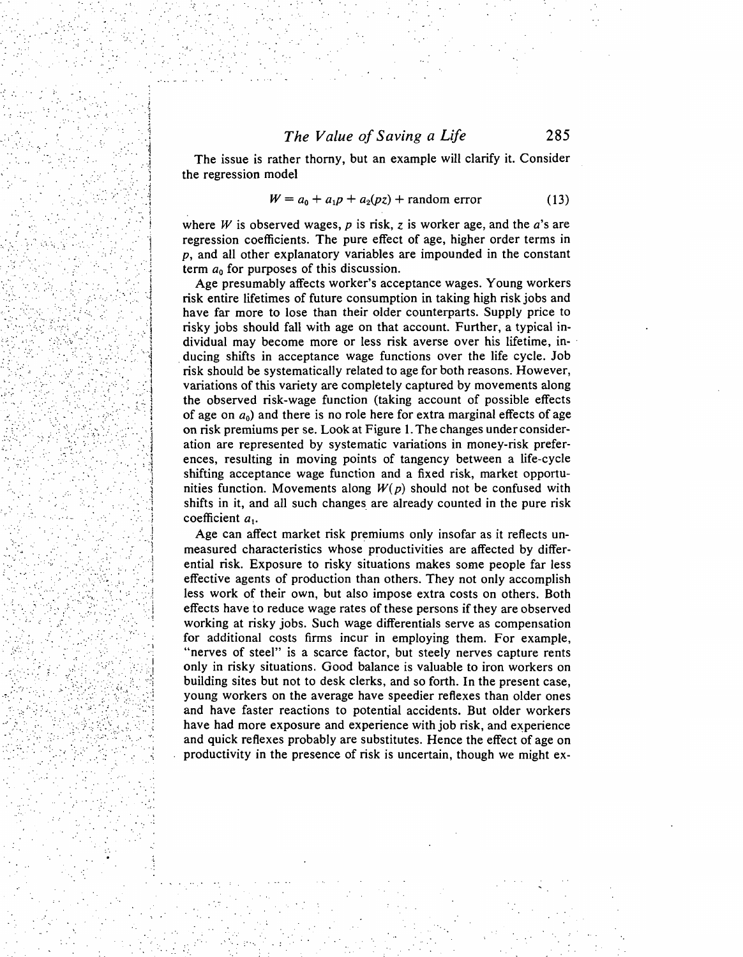The issue is rather thorny, but an example will clarify it. Consider the regression model

 $\mathbf{I}$ 

 $\frac{1}{2}$ 

$$
W = a_0 + a_1 p + a_2 (pz) + \text{random error} \tag{13}
$$

where W is observed wages, p is risk, z is worker age, and the  $a$ 's are regression coefficients. The pure effect of age, higher order terms in p, and all other explanatory variables are impounded in the constant term  $a_0$  for purposes of this discussion.

Age presumably affects worker's acceptance wages. Young workers risk entire lifetimes of future consumption in taking high risk jobs and have far more to lose than their older counterparts. Supply price to risky jobs should fall with age on that account. Further, a typical individual may become more or less risk averse over his lifetime, in- • ducing shifts in acceptance wage functions over the life cycle. Job risk should be systematically related to age for both reasons. However, variations of this variety are completely captured by movements along the observed risk-wage function (taking account of possible effects of age on  $a_0$ ) and there is no role here for extra marginal effects of age on risk premiums per se. Look at Figure 1. The changes under consideration are represented by systematic variations in money-risk preferences, resulting in moving points of tangency between a life-cycle shifting acceptance wage function and a fixed risk, market opportunities function. Movements along  $W(p)$  should not be confused with shifts in it, and all such changes are already counted in the pure risk coefficient  $a_{1}$ .

Age can affect market risk premiums only insofar as it reflects unmeasured characteristics whose productivities are affected by differential risk. Exposure to risky situations makes some people far less effective agents of production than others. They not only accomplish less work of their own, but also impose extra costs on others. Both effects have to reduce wage rates of these persons if they are observed working at risky jobs. Such wage differentials serve as compensation for additional costs firms incur in employing them. For example, "nerves of steel" is a scarce factor, but steely nerves capture rents only in risky situations. Good balance is valuable to iron workers on building sites but not to desk clerks, and so forth. In the present case, young workers on the average have speedier reflexes than older ones and have faster reactions to potential accidents. But older workers have had more exposure and experience with job risk, and experience and quick reflexes probably are substitutes. Hence the effect of age on • productivity in the presence of risk is uncertain, though we might ex-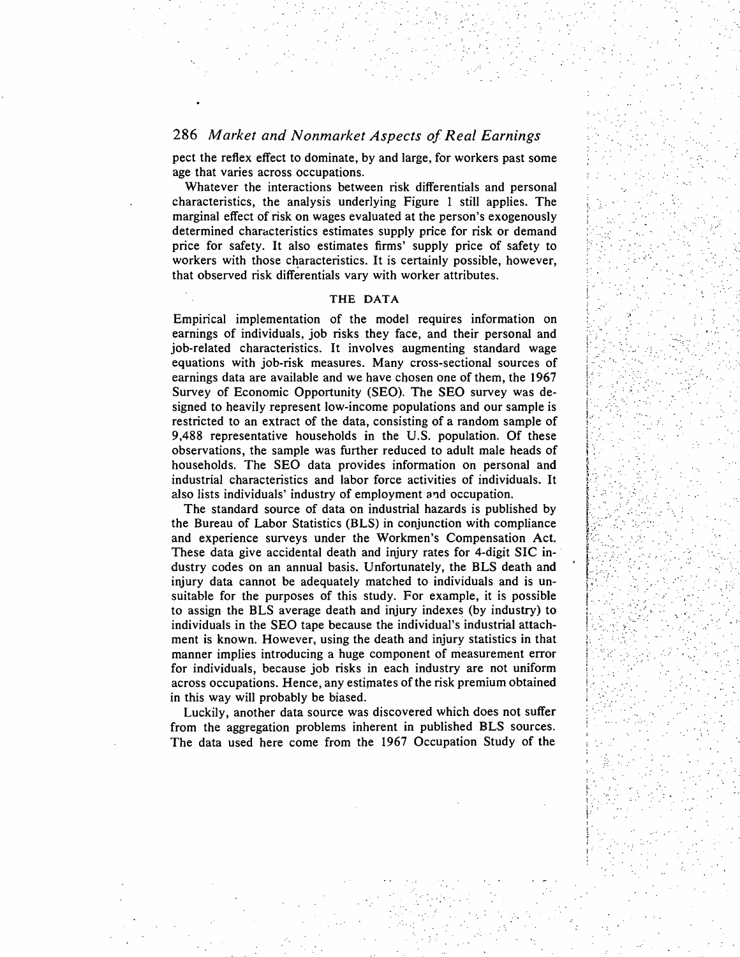pect the reflex effect to dominate, by and large, for workers past some age that varies across occupations.

Whatever the interactions between risk differentials and personal characteristics, the analysis underlying Figure <sup>1</sup> still applies. The marginal effect of risk on wages evaluated at the person's exogenously determined characteristics estimates supply price for risk or demand price for safety. It also estimates firms' supply price of safety to workers with those characteristics. It is certainly possible, however, that observed risk differentials vary with worker attributes.

#### THE DATA

Empirical implementation of the model requires information on earnings of individuals, job risks they face, and their personal and job-related characteristics. It involves augmenting standard wage equations with job-risk measures. Many cross-sectional sources of earnings data are available and we have chosen one of them, the 1967 Survey of Economic Opportunity (SEO). The SEO survey was designed to heavily represent low-income populations and our sample is restricted to an extract of the data, consisting of a random sample of 9,488 representative households in the U.S. population. Of these observations, the sample was further reduced to adult male heads of households. The SEO data provides information on personal and industrial characteristics and labor force activities of individuals. It also lists individuals' industry of employment and occupation.

The standard source of data on industrial hazards is published by the Bureau of Labor Statistics (BLS) in conjunction with compliance and experience surveys under the Workmen's Compensation Act. These data give accidental death and injury rates for 4-digit SIC industry codes on an annual basis. Unfortunately, the BLS death and injury data cannot be adequately matched to individuals and is unsuitable for the purposes of this study. For example, it is possible to assign the BLS average death and injury indexes (by industry) to individuals in the SEQ tape because the individual's industrial attachment is known. However, using the death and injury statistics in that manner implies introducing a huge component of measurement error for individuals, because job risks in each industry are not uniform across occupations. Hence, any estimates of the risk premium obtained in this way will probably be biased.

Luckily, another data source was discovered which does not suffer from the aggregation problems inherent in published BLS sources. The data used here come from the 1967 Occupation Study of the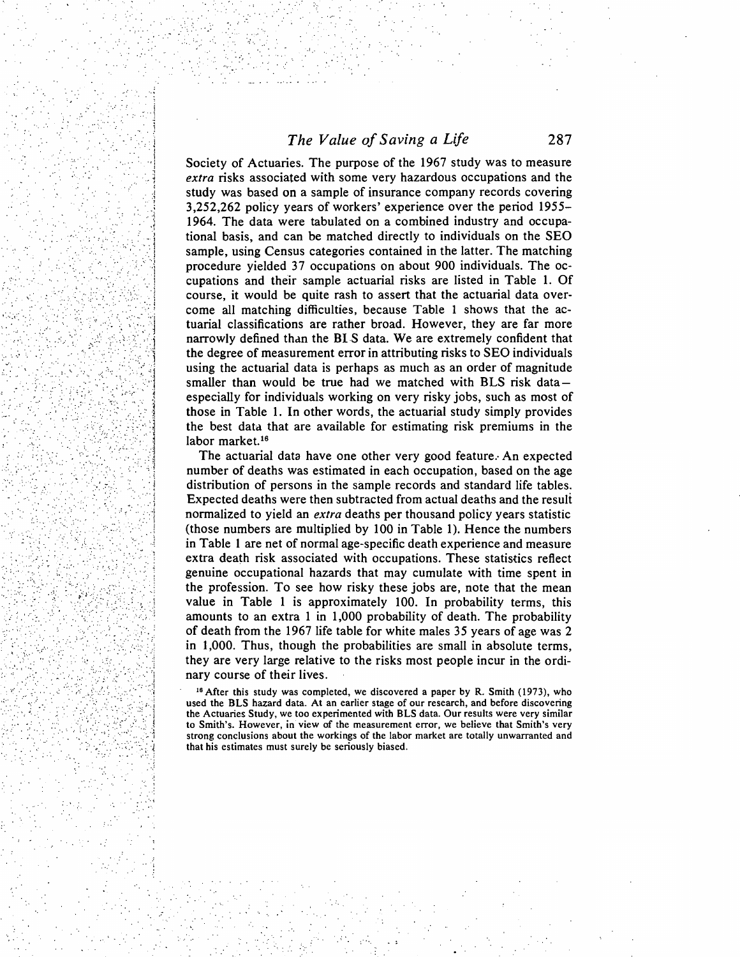Society of Actuaries. The purpose of the 1967 study was to measure extra risks associated with some very hazardous occupations and the study was based on a sample of insurance company records covering 3,252,262 policy years of workers' experience over the period 1955— 1964. The data were tabulated on a combined industry and occupational basis, and can be matched directly to individuals on the SEO sample, using Census categories contained in the latter. The matching procedure yielded 37 occupations on about 900 individuals. The occupations and their sample actuarial risks are listed in Table 1. Of course, it would be quite rash to assert that the actuarial data overcome all matching difficulties, because Table 1 shows that the actuarial classifications are rather broad. However, they are far more narrowly defined than the BI.S data. We are extremely confident that the degree of measurement error in attributing risks to SEO individuals using the actuarial data is perhaps as much as an order of magnitude smaller than would be true had we matched with BLS risk data especially for individuals working on very risky jobs, such as most of those in Table 1. In other words, the actuarial study simply provides the best data that are available for estimating risk premiums in the labor market.<sup>16</sup> The Value of Saving e The Value of Saving Society of Actuaries. The purpose of the 19 extra risks associated with some very hazar sudy was based on a sample of insurance consideration in a sample, using Census categories

The actuarial data have one other very good feature. An expected number of deaths was estimated in each occupation, based on the age distribution of persons in the sample records and standard life tables. Expected deaths were then subtracted from actual deaths and the resuli normalized to yield an *extra* deaths per thousand policy years statistic (those numbers are multiplied by 100 in Table 1). Hence the numbers in Table 1 are net of normal age-specific death experience and measure extra death risk associated with occupations. These statistics reflect genuine occupational hazards that may cumulate with time spent in the profession. To see how risky these jobs are, note that the mean value in Table 1 is approximately 100. In probability terms, this amounts to an extra 1 in 1,000 probability of death. The probability of death from the 1967 life table for white males 35 years of age was 2 in 1,000. Thus, though the probabilities are small in absolute terms, they are very large relative to the risks most people incur in the ordinary course of their lives.

<sup>16</sup> After this study was completed, we discovered a paper by R. Smith (1973), who used the BLS hazard data. At an earlier stage of our research, and before discovering the Actuaries Study, we too experimented with BLS data. Our results were very similar to Smith's. However, in view of the measurement error, we believe that Smith's very strong conclusions about the workings of the labor market are totally unwarranted and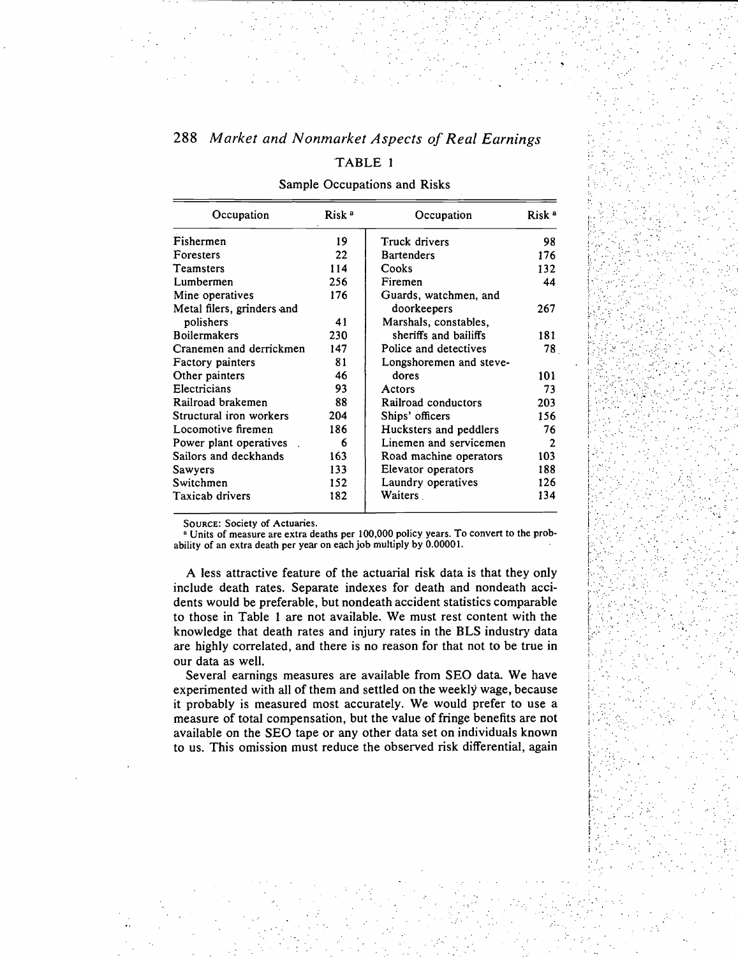#### TABLE I

| Occupation                 | Risk <sup>a</sup> | Occupation              | Risk <sup>a</sup> |  |
|----------------------------|-------------------|-------------------------|-------------------|--|
| Fishermen                  | 19                | Truck drivers           | 98                |  |
| Foresters                  | 22                | <b>Bartenders</b>       | 176               |  |
| Teamsters                  | 114               | Cooks                   | 132               |  |
| Lumbermen                  | 256               | Firemen                 | 44                |  |
| Mine operatives            | 176               | Guards, watchmen, and   |                   |  |
| Metal filers, grinders and |                   | doorkeepers             | 267               |  |
| polishers                  | 41                | Marshals, constables,   |                   |  |
| <b>Boilermakers</b>        | 230               | sheriffs and bailiffs   | 181               |  |
| Cranemen and derrickmen    | 147               | Police and detectives   | 78.               |  |
| Factory painters           | 81                | Longshoremen and steve- |                   |  |
| Other painters             | 46                | dores                   | 101               |  |
| Electricians               | 93                | Actors                  | 73                |  |
| Railroad brakemen          | 88                | Railroad conductors     | 203               |  |
| Structural iron workers    | 204               | Ships' officers         | 156               |  |
| Locomotive firemen         | 186               | Hucksters and peddlers  | 76                |  |
| Power plant operatives     | 6                 | Linemen and servicemen  | $\mathcal{P}$     |  |
| Sailors and deckhands      | 163               | Road machine operators  | 103               |  |
| Sawyers                    | 133               | Elevator operators      |                   |  |
| Switchmen                  | 152               | Laundry operatives      | 126               |  |
| Taxicab drivers            | 182               | Waiters                 | 134               |  |
|                            |                   |                         |                   |  |

#### Sample Occupations and Risks

<sup>S</sup> -. .

 $\Gamma$  —  $\sim$ 

SOURCE: Society of Actuaries.

° Units of measure are extra deaths per 100,000 policy years. To convert to the probability of an extra death per year on each job multiply by 0.0000 1.

A less attractive feature of the actuarial risk data is that they only include death rates. Separate indexes for death and nondeath accidents would be preferable, but nondeath accident statistics comparable to those in Table 1 are not available. We must rest content with the knowledge that death rates and injury rates in the BLS industry data are highly correlated, and there is no reason for that not to be true in our data as well.

Several earnings measures are available from SEO data. We have experimented with all of them and settled on the weekly wage, because it probably is measured most accurately. We would prefer to use a measure of total compensation, but the value of fringe benefits are not available on the SEO tape or any other data set on individuals known to us. This omission must reduce the observed risk differential, again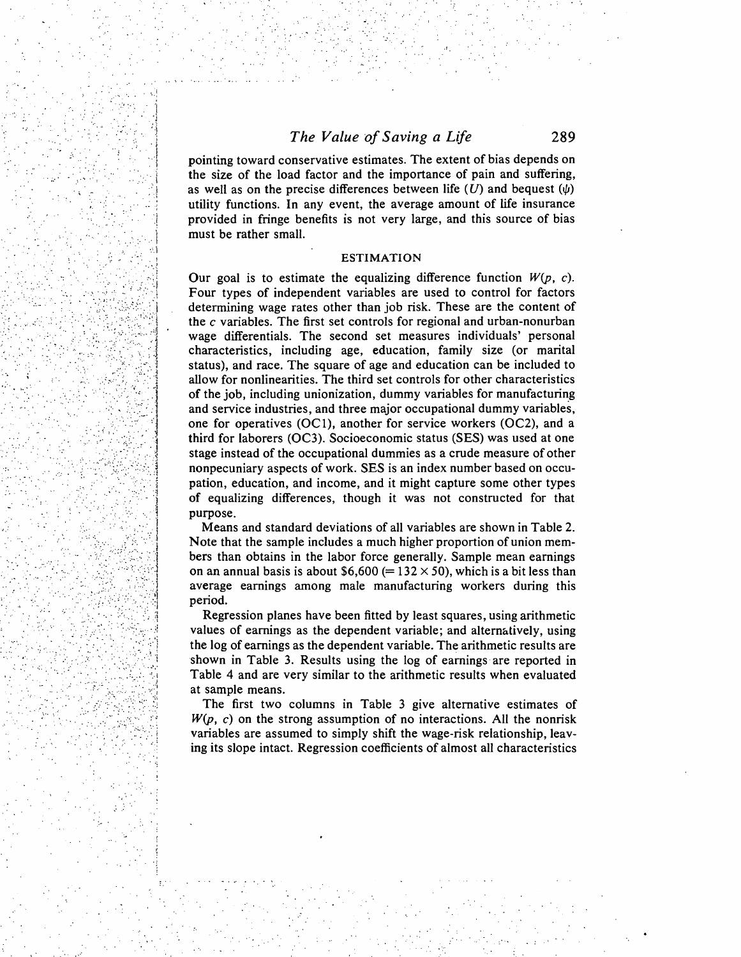. . . .,.... .:.

 $\cdot \cdot \cdot$ 

 $\overline{\phantom{a}}$ 

pointing toward conservative estimates. The extent of bias depends on the size of the load factor and the importance of pain and suffering, as well as on the precise differences between life  $(U)$  and bequest  $(\psi)$ utility functions. In any event, the average amount of life insurance provided in fringe benefits is not very large, and this source of bias must be rather small.

#### ESTIMATION

Our goal is to estimate the equalizing difference function  $W(p, c)$ . Four types of independent variables are used to control for factors determining wage rates other than job risk. These are the content of the  $c$  variables. The first set controls for regional and urban-nonurban wage differentials. The second set measures individuals' personal characteristics, including age, education, family size (or marital status), and race. The square of age and education can be included to allow for nonlinearities. The third set controls for other characteristics of the job, including unionization, dummy variables for manufacturing and service industries, and three major occupational dummy variables, one for operatives (OC1), another for service workers (0C2), and a third for laborers (0C3). Socioeconomic status (SES) was used at one stage instead of the occupational dummies as a crude measure of other nonpecuniary aspects of work. SF5 is an index number based on occupation, education, and income, and it might capture some other types of equalizing differences, though it was not constructed for that purpose.

Means and standard deviations of all variables are shown in Table 2. Note that the sample includes a much higher proportion of union members than obtains in the labor force generally. Sample mean earnings on an annual basis is about \$6,600 (=  $132 \times 50$ ), which is a bit less than average earnings among male manufacturing workers during this period.

Regression planes have been fitted by least squares, using arithmetic values of earnings as the dependent variable; and alternatively, using the log of earnings as the dependent variable. The arithmetic results are shown in Table 3. Results using the log of earnings are reported in Table 4 and are very similar to the arithmetic results when evaluated at sample means.

The first two columns in Table 3 give alternative estimates of  $W(p, c)$  on the strong assumption of no interactions. All the nonrisk variables are assumed to simply shift the wage-risk relationship, leaving its slope intact. Regression coefficients of almost all characteristics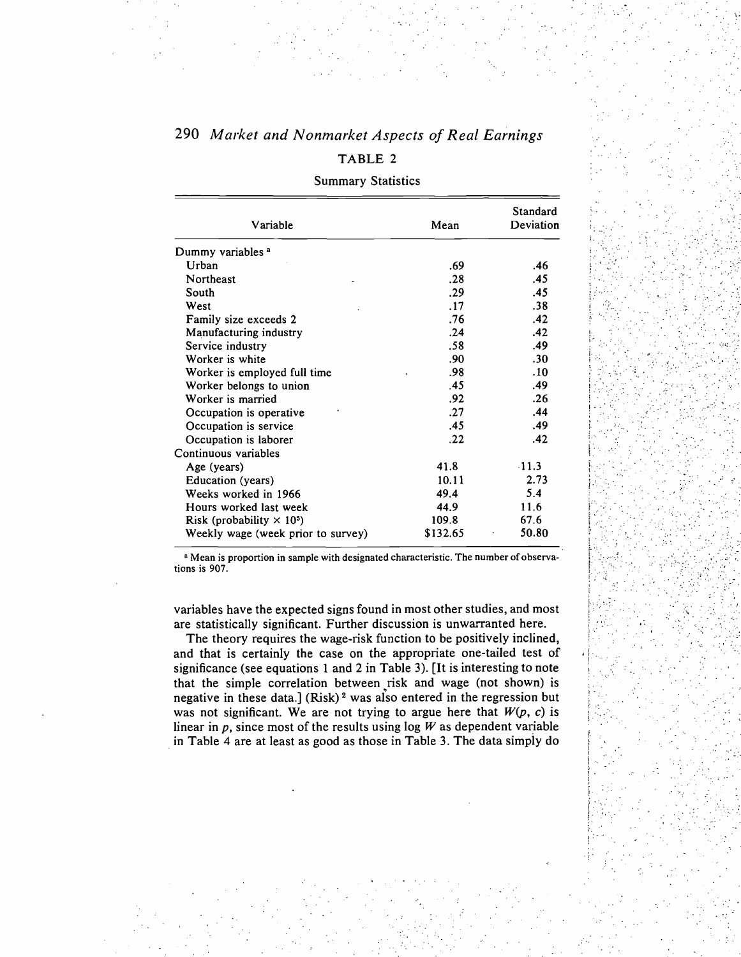#### TABLE 2

|                                              |          | Standard  |
|----------------------------------------------|----------|-----------|
| Variable                                     | Mean     | Deviation |
| Dummy variables <sup>a</sup>                 |          |           |
| Urban                                        | .69      | .46       |
| Northeast                                    | .28      | .45       |
| South                                        | .29      | .45       |
| West                                         | .17      | .38       |
| Family size exceeds 2                        | .76      | .42       |
| Manufacturing industry                       | .24      | .42       |
| Service industry                             | .58      | .49       |
| Worker is white                              | .90      | .30       |
| Worker is employed full time                 | .98      | .10       |
| Worker belongs to union                      | .45      | .49       |
| Worker is married                            | .92      | .26       |
| Occupation is operative                      | .27      | .44       |
| Occupation is service                        | .45      | .49       |
| Occupation is laborer                        | .22      | .42       |
| Continuous variables                         |          |           |
| Age (years)                                  | 41.8     | $-11.3$   |
| Education (years)                            | 10.11    | 2.73      |
| Weeks worked in 1966                         | 49.4     | 5.4       |
| Hours worked last week                       | 44.9     | 11.6      |
| Risk (probability $\times$ 10 <sup>5</sup> ) | 109.8    | 67.6      |
| Weekly wage (week prior to survey)           | \$132.65 | 50.80     |
|                                              |          |           |

 $\mathbb{H}_{\mathbb{R}^2}$ 

<sup>I</sup> ••.• . .

• :— . . . •0•

 $\mathbf{F}^{\text{max}}_{\text{max}}$ 

#### Summary Statistics

a Mean is proportion in sample with designated characteristic. The number of observations is 907.

variables have the expected signs found in most other studies, and most are statistically significant. Further discussion is unwarranted here.

The theory requires the wage-risk function to be positively inclined, and that is certainly the case on the appropriate one-tailed test of significance (see equations 1 and 2 in Table 3). [It is interesting to note that the simple correlation between risk and wage (not shown) is negative in these data.] (Risk)<sup>2</sup> was also entered in the regression but was not significant. We are not trying to argue here that  $W(p, c)$  is linear in  $p$ , since most of the results using log  $W$  as dependent variable in Table 4 are at least as good as those in Table 3. The data simply do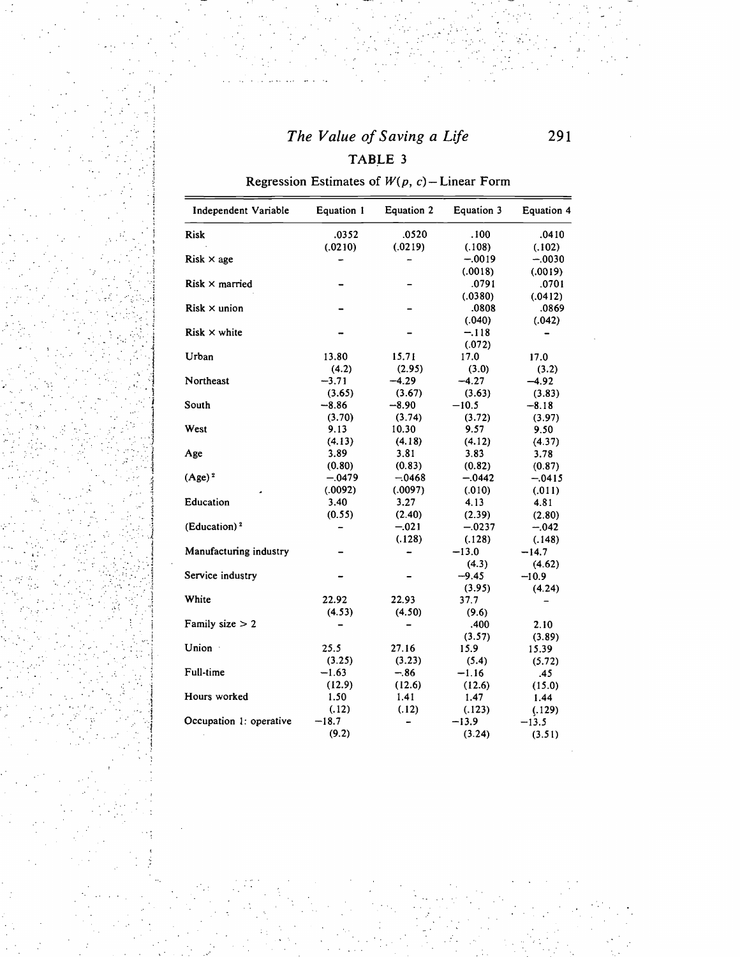# TABLE 3

| Independent Variable     | Equation 1 | Equation 2 | Equation 3 | Equation 4 |
|--------------------------|------------|------------|------------|------------|
| <b>Risk</b>              | .0352      | .0520      | .100       | .0410      |
|                          | (.0210)    | (.0219)    | (.108)     | (.102)     |
| $Risk \times age$        | -          |            | $-.0019$   | $-.0030$   |
|                          |            |            | (.0018)    | (.0019)    |
| $Risk \times married$    |            |            | .0791      | .0701      |
|                          |            |            | (.0380)    | (.0412)    |
| $Risk \times union$      |            |            | .0808      | .0869      |
|                          |            |            | (.040)     | (.042)     |
| $Risk \times white$      |            |            | $-.118$    |            |
|                          |            |            | (.072)     |            |
| Urban                    | 13.80      | 15.71      | 17.0       | 17.0       |
|                          | (4.2)      | (2.95)     | (3.0)      | (3.2)      |
| Northeast                | $-3.71$    | $-4.29$    | $-4.27$    | $-4.92$    |
|                          | (3.65)     | (3.67)     | (3.63)     | (3.83)     |
| South                    | $-8.86$    | $-8.90$    | $-10.5$    | $-8.18$    |
|                          | (3.70)     | (3.74)     | (3.72)     | (3.97)     |
| West                     | 9.13       | 10.30      | 9.57       | 9.50       |
|                          | (4.13)     | (4.18)     | (4.12)     | (4.37)     |
| Age                      | 3.89       | 3.81       | 3.83       | 3.78       |
|                          | (0.80)     | (0.83)     | (0.82)     | (0.87)     |
| $(Age)^2$                | $-.0479$   | $-0468$    | $-.0442$   | $-.0415$   |
|                          | (.0092)    | (.0097)    | (.010)     | (.011)     |
| Education                | 3.40       | 3.27       | 4.13       | 4.81       |
|                          | (0.55)     | (2.40)     | (2.39)     | (2.80)     |
| (Education) <sup>2</sup> | ÷          | $-.021$    | $-.0237$   | -.042      |
|                          |            | (.128)     | (.128)     | (.148)     |
| Manufacturing industry   |            | -          | $-13.0$    | $-14.7$    |
|                          |            |            | (4.3)      | (4.62)     |
| Service industry         |            |            | $-9.45$    | $-10.9$    |
|                          |            |            | (3.95)     | (4.24)     |
| White                    | 22.92      | 22.93      | 37.7       |            |
|                          | (4.53)     | (4.50)     | (9.6)      |            |
| Family size $> 2$        |            |            | .400       | 2.10       |
|                          |            |            | (3.57)     | (3.89)     |
| Union                    | 25.5       | 27.16      | 15.9       | 15.39      |
|                          | (3.25)     | (3.23)     | (5.4)      | (5.72)     |
| Full-time                | $-1.63$    | $-.86$     | $-1.16$    | .45        |
|                          | (12.9)     | (12.6)     | (12.6)     | (15.0)     |
| Hours worked             | 1.50       | 1.41       | 1.47       | 1.44       |
|                          | (.12)      | (.12)      | (.123)     | (.129)     |
| Occupation 1: operative  | $-18.7$    |            | $-13.9$    | $-13.5$    |
|                          | (9.2)      |            | (3.24)     | (3.51)     |
|                          |            |            |            |            |

• ..: . •.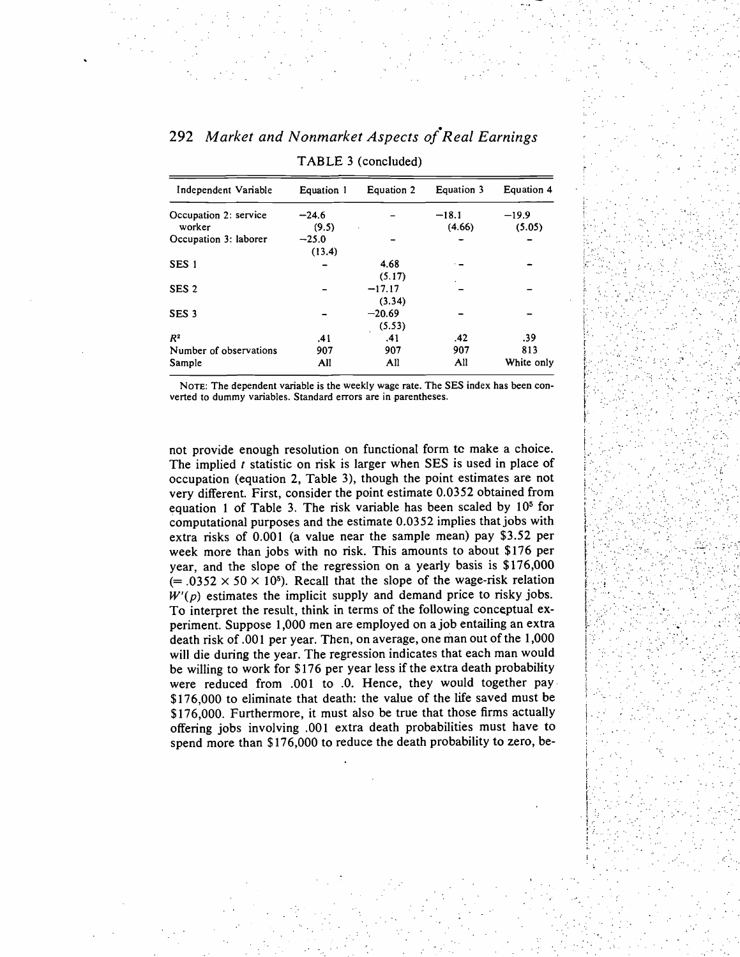| Independent Variable   | Equation 1 | Equation 2 | Equation 3 | Equation 4 |
|------------------------|------------|------------|------------|------------|
| Occupation 2: service  | $-24.6$    |            | $-18.1$    | $-19.9$    |
| worker                 | (9.5)      |            | (4.66)     | (5.05)     |
| Occupation 3: laborer  | $-25.0$    |            |            |            |
|                        | (13.4)     |            |            |            |
| SES <sub>1</sub>       |            | 4.68       |            |            |
|                        |            | (5.17)     |            |            |
| SES <sub>2</sub>       |            | $-17.17$   |            |            |
|                        |            | (3.34)     |            |            |
| SES <sub>3</sub>       |            | $-20.69$   |            |            |
|                        |            | (5.53)     |            |            |
| $R^2$                  | .41        | .41        | .42        | .39        |
| Number of observations | 907        | 907        | 907        | 813        |
| Sample                 | All        | All        | All        | White only |

NOTE: The dependent variable is the weekly wage rate. The SES index has been converted to dummy variables. Standard errors are in parentheses.

not provide enough resolution on functional form to make a choice. The implied  $t$  statistic on risk is larger when SES is used in place of occupation (equation 2, Table 3), though the point estimates are not very different. First, consider the point estimate 0.03 52 obtained from equation 1 of Table 3. The risk variable has been scaled by  $10<sup>5</sup>$  for computational purposes and the estimate 0.0352 implies that jobs with extra risks of 0.001 (a value near the sample mean) pay \$3.52 per week more than jobs with no risk. This amounts to about \$176 per year, and the slope of the regression on a yearly basis is \$176,000  $(= .0352 \times 50 \times 10^5)$ . Recall that the slope of the wage-risk relation  $W'(p)$  estimates the implicit supply and demand price to risky jobs. To interpret the result, think in terms of the following conceptual experiment. Suppose 1,000 men are employed on ajob entailing an extra death risk of .001 per year. Then, on average, one man out of the 1,000 will die during the year. The regression indicates that each man would be willing to work for \$176 per year less if the extra death probability were reduced from .001 to .0. Hence, they would together pay \$176,000 to eliminate that death: the value of the life saved must be \$176,000. Furthermore, it must also be true that those firms actually offering jobs involving .001 extra death probabilities must have to spend more than \$176,000 to reduce the death probability to zero, be-

ii..

<sup>I</sup> ...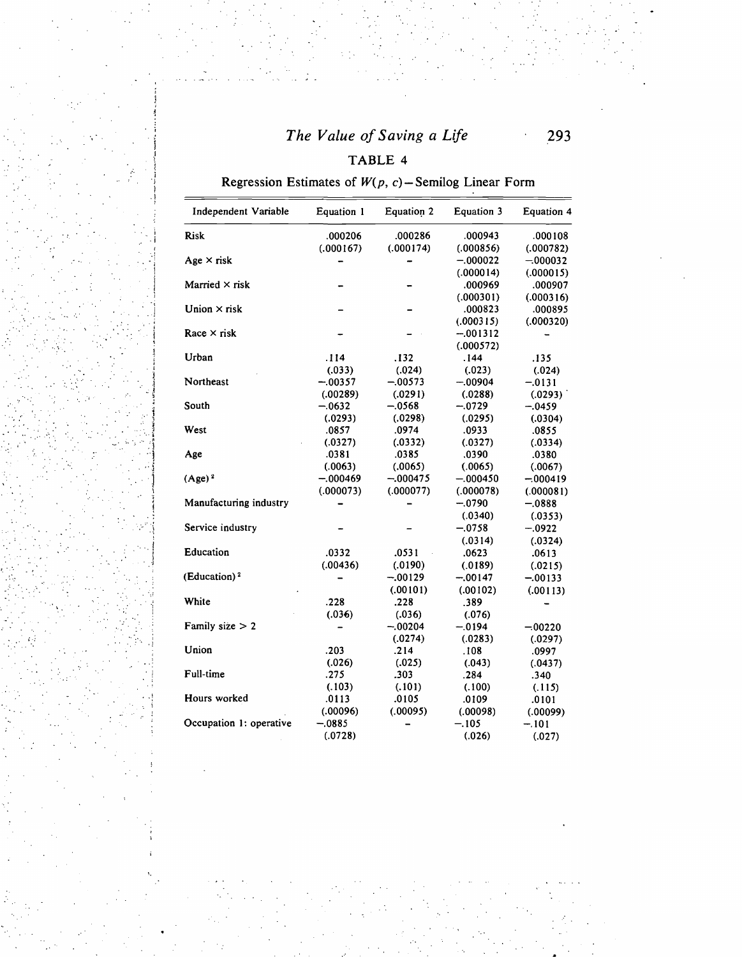# TABLE 4

# Regression Estimates of  $W(p, c)$  – Semilog Linear Form

| Independent Variable     | Equation 1 | <b>Equation 2</b> | Equation 3 | <b>Equation 4</b> |
|--------------------------|------------|-------------------|------------|-------------------|
| <b>Risk</b>              | .000206    | .000286           | .000943    | .000108           |
|                          | (.000167)  | (.000174)         | (.000856)  | (.000782)         |
| Age $\times$ risk        |            |                   | $-.000022$ | $-.000032$        |
|                          |            |                   | (.000014)  | (.000015)         |
| Married $\times$ risk    |            |                   | .000969    | .000907           |
|                          |            |                   | (.000301)  | (.000316)         |
| Union $\times$ risk      |            |                   | .000823    | .000895           |
|                          |            |                   | (.000315)  | (.000320)         |
| Race $\times$ risk       |            |                   | $-.001312$ |                   |
|                          |            |                   | (.000572)  |                   |
| Urban                    | .114       | .132              | .144       | .135              |
|                          | (.033)     | (.024)            | (.023)     | (.024)            |
| Northeast                | $-.00357$  | $-.00573$         | $-.00904$  | $-.0131$          |
|                          | (.00289)   | (.0291)           | (.0288)    | (.0293)           |
| South                    | $-.0632$   | $-.0568$          | $-.0729$   | $-.0459$          |
|                          | (.0293)    | (.0298)           | (.0295)    | (.0304)           |
| West                     | .0857      | .0974             | .0933      | .0855             |
|                          | (.0327)    | (.0332)           | (.0327)    | (.0334)           |
| Age                      | .0381      | .0385             | .0390      | .0380             |
|                          | (.0063)    | (.0065)           | (.0065)    | (.0067)           |
| $(Age)^2$                | $-.000469$ | $-.000475$        | $-.000450$ | $-000419$         |
|                          | (.000073)  | (.000077)         | (.000078)  | (.000081)         |
| Manufacturing industry   |            |                   | $-.0790$   | $-.0888$          |
|                          |            |                   | (.0340)    | (.0353)           |
| Service industry         |            |                   | $-.0758$   | $-.0922$          |
|                          |            |                   | (.0314)    | (.0324)           |
| Education                | .0332      | .0531             | .0623      | .0613             |
|                          | (.00436)   | (.0190)           | (.0189)    | (.0215)           |
| (Education) <sup>2</sup> | -          | $-.00129$         | $-.00147$  | $-.00133$         |
|                          |            | (.00101)          | (.00102)   | (.00113)          |
| White                    | .228       | .228              | .389       | ÷.                |
|                          | (.036)     | (.036)            | (.076)     |                   |
| Family size $> 2$        | -          | $-.00204$         | $-.0194$   | $-00220$          |
|                          |            | (.0274)           | (.0283)    | (.0297)           |
| Union                    | .203       | .214              | .108       | .0997             |
|                          | (.026)     | (.025)            | (.043)     | (.0437)           |
| Full-time                | .275       | .303              | .284       | .340              |
|                          | (.103)     | (.101)            | (.100)     | (.115)            |
| Hours worked             | .0113      | .0105             | .0109      | .0101             |
|                          | (.00096)   | (.00095)          | (.00098)   | (.00099)          |
| Occupation 1: operative  | $-.0885$   |                   | $-.105$    | $-.101$           |
|                          | (.0728)    |                   | (.026)     | (.027)            |
|                          |            |                   |            |                   |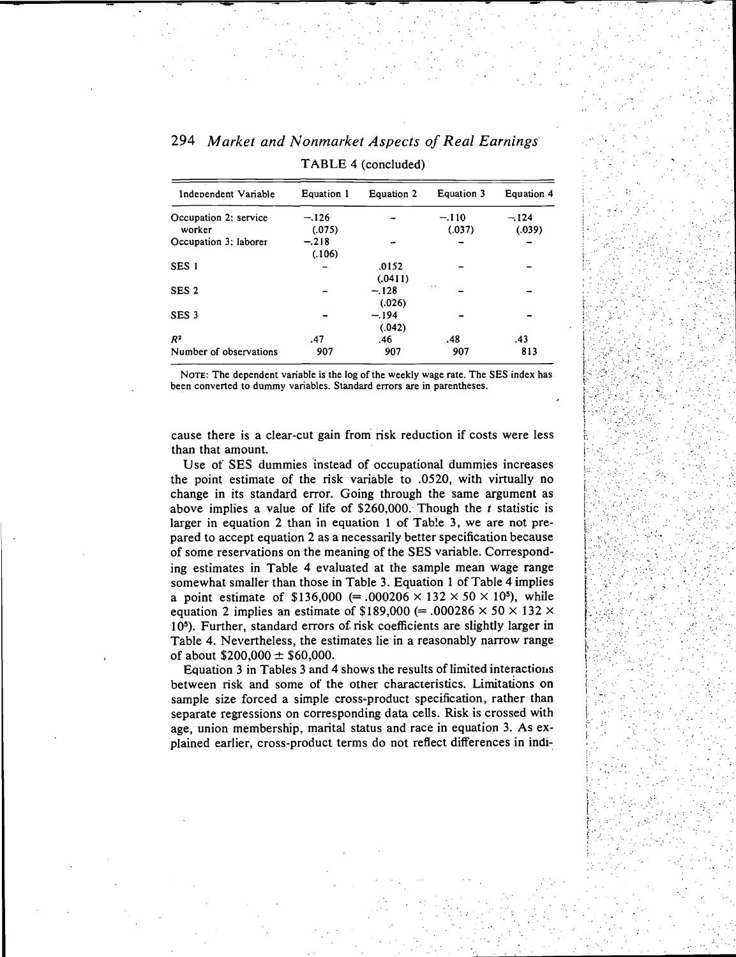| Independent Variable   | Equation 1 | Equation 2 | Equation 3           | Equation 4 |
|------------------------|------------|------------|----------------------|------------|
| Occupation 2: service  | $-.126$    |            | $-.110$              | $-.124$    |
| worker                 | (.075)     |            | (.037)               | (.039)     |
| Occupation 3: laborer  | $-.218$    |            |                      |            |
|                        | (.106)     |            |                      |            |
| SES <sub>1</sub>       |            | .0152      |                      |            |
|                        |            | (.0411)    |                      |            |
| SES <sub>2</sub>       |            | $-.128$    | $\ddot{\phantom{0}}$ |            |
|                        |            | (.026)     |                      |            |
| SES <sub>3</sub>       |            | $-.194$    |                      |            |
|                        |            | (.042)     |                      |            |
| $R^2$                  | .47        | .46        | .48                  | .43        |
| Number of observations | 907        | 907        | 907                  | 813        |

•

294 Market and Nonmarket Aspects of Real Earnings TABLE 4 (concluded)

NOTE: The dependent variable is the log of the weekly wage rate. The SES index has been converted to dummy variables. Standard errors are in parentheses.

cause there is a clear-cut gain from risk reduction if costs were less than that amount.

Use of SES dummies instead of occupational dummies increases the point estimate of the risk variable to .0520, with virtually no change in its standard error. Going through the same argument as above implies a value of life of  $$260,000$ . Though the t statistic is larger in equation 2 than in equation 1 of Table 3, we are not prepared to accept equation 2 as a necessarily better specification because of some reservations on the meaning of the SES variable. Corresponding estimates in Table 4 evaluated at the sample mean wage range somewhat smaller than those in Table 3. Equation 1 of Table 4 implies a point estimate of \$136,000 (= .000206  $\times$  132  $\times$  50  $\times$  10<sup>5</sup>), while equation 2 implies an estimate of \$189,000 (= .000286  $\times$  50  $\times$  132  $\times$ Further, standard errors of risk coefficients are slightly larger in Table 4. Nevertheless, the estimates lie in a reasonably narrow range of about  $$200,000 \pm $60,000$ .

Equation 3 in Tables 3 and 4 shows the results of limited interactions between risk and some of the other characteristics. Limitations on sample size forced a simple cross-product specification, rather than separate regressions on corresponding data cells. Risk is crossed with age, union membership, marital status and race in equation 3. As explained earlier, cross-product terms do not reflect differences in indi-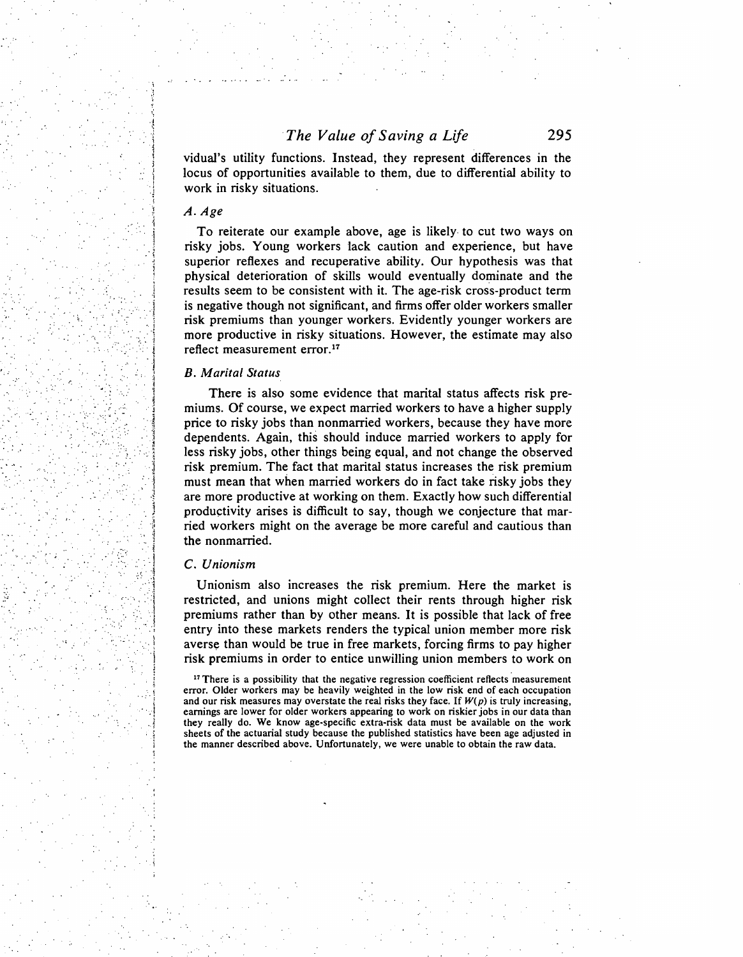vidual's utility functions. Instead, they represent differences in the locus of opportunities available to them, due to differential ability to work in risky situations.

#### A. Age

To reiterate our example above, age is likely, to cut two ways on risky jobs. Young workers lack caution and experience, but have superior reflexes and recuperative ability. Our hypothesis was that physical deterioration of skills would eventually dominate and the results seem to be consistent with it. The age-risk cross-product term is negative though not significant, and firms offer older workers smaller risk premiums than younger workers. Evidently younger workers are more productive in risky situations. However, the estimate may also reflect measurement error.'7

#### B. Marital Status

 $\begin{matrix} \cdot & \cdot & \cdot \\ \cdot & \cdot & \cdot \\ \cdot & \cdot & \cdot \end{matrix}$ There is also some evidence that marital status affects risk premiums. Of course, we expect married workers to have a higher supply price to risky jobs than nonmarried workers, because they have more dependents. Again, this should induce married workers to apply for less risky jobs, other things being equal, and not change the observed risk premium. The fact that marital status increases the risk premium must mean that when married workers do in fact take risky jobs they are more productive at working on them. Exactly how such differential productivity arises is difficult to say, though we conjecture that married workers might on the average be more careful and cautious than the nonmarried.

#### C. Unionism

Unionism also increases the risk premium. Here the market is restricted, and unions might collect their rents through higher risk premiums rather than by other means. It is possible that lack of free entry into these markets renders the typical union member more risk averse than would be true in free markets, forcing firms to pay higher risk premiums in order to entice unwilling union members to work on

 $17$  There is a possibility that the negative regression coefficient reflects measurement error. Older workers may be heavily weighted in the low risk end of each occupation and our risk measures may overstate the real risks they face. If  $W(p)$  is truly increasing, earnings are lower for older workers appearing to work on riskier jobs in our data than they really do. We know age-specific extra-risk data must be available on the work sheets of the actuarial study because the published statistics have been age adjusted in the manner described above. Unfortunately, we were unable to obtain the raw data.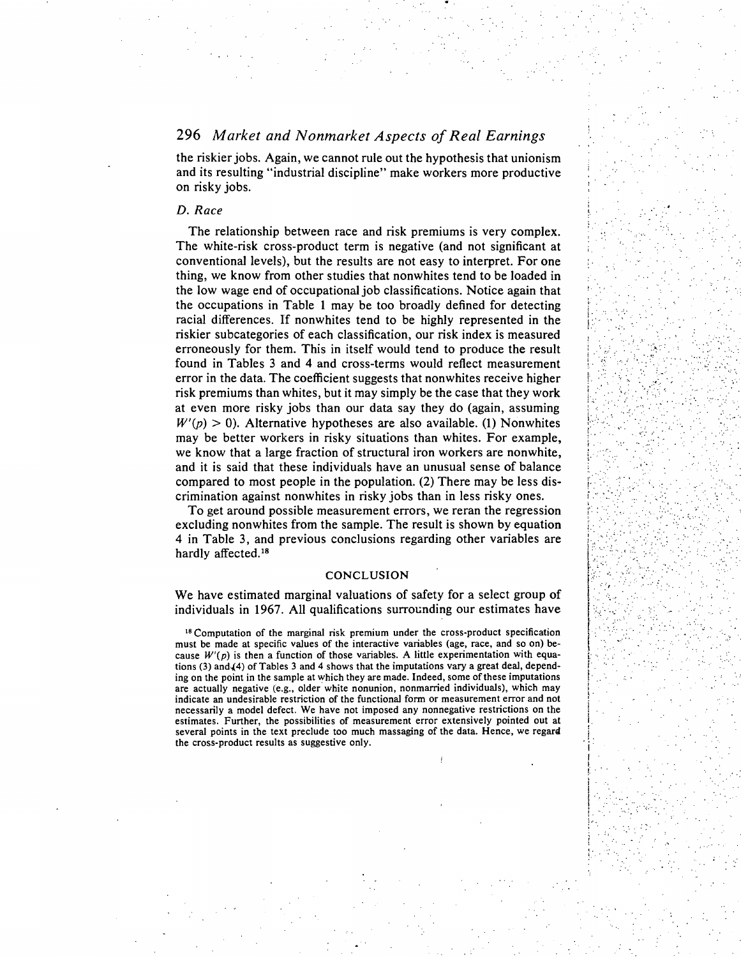the riskier jobs. Again, we cannot rule out the hypothesis that unionism and its resulting "industrial discipline" make workers more productive on risky jobs.

#### D. Race

The relationship between race and risk premiums is very complex. The white-risk cross-product term is negative (and not significant at conventional levels), but the results are not easy to interpret. For one thing, we know from other studies that nonwhites tend to be loaded in the low wage end of occupational job classifications. Notice again that the occupations in Table 1 may be too broadly defined for detecting racial differences, if nonwhites tend to be highly represented in the riskier subcategories of each classification, our risk index is measured erroneously for them. This in itself would tend to produce the result found in Tables 3 and 4 and cross-terms would reflect measurement error in the data. The coefficient suggests that nonwhites receive higher risk premiums than whites, but it may simply be the case that they work at even more risky jobs than our data say they do (again, assuming  $W'(p) > 0$ ). Alternative hypotheses are also available. (1) Nonwhites may be better workers in risky situations than whites. For example, we know that a large fraction of structural iron workers are nonwhite, and it is said that these individuals have an unusual sense of balance compared to most people in the population. (2) There may be less discrimination against nonwhites in risky jobs than in less risky ones.

To get around possible measurement errors, we reran the regression excluding nonwhites from the sample. The result is shown by equation 4 in Table 3, and previous conclusions regarding other variables are hardly affected.<sup>18</sup>

#### CONCLUSION

We have estimated marginal valuations of safety for a select group of individuals in 1967. All qualifications surrounding our estimates have

<sup>18</sup> Computation of the marginal risk premium under the cross-product specification must be made at specific values of the interactive variables (age, race, and so on) because  $W'(p)$  is then a function of those variables. A little experimentation with equations (3) and  $(4)$  of Tables 3 and 4 shows that the imputations vary a great deal, depending on the point in the sample at which they are made. Indeed, some of these imputations are actually negative (e.g., older white nonunion, nonmarried individuals), which may indicate an undesirable restriction of the functional form or measurement error and not necessarily a model defect. We have not imposed any nonnegative restrictions on the estimates. Further, the possibilities of measurement error extensively pointed out at several points in the text preclude too much massaging of the data. Hence, we regard the cross-product results as suggestive only.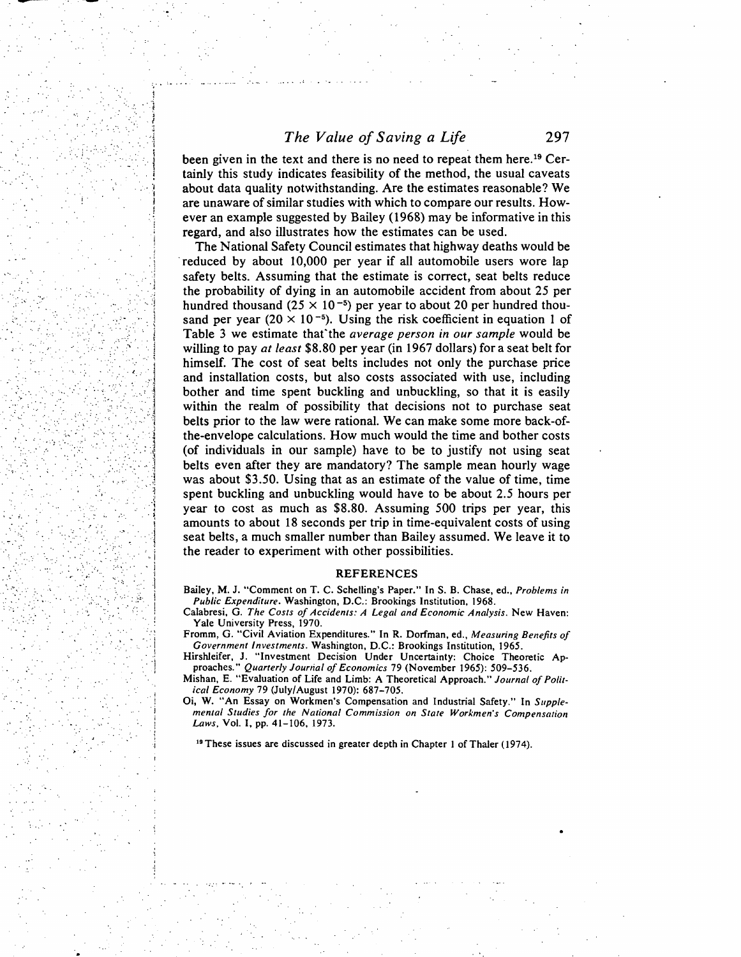been given in the text and there is no need to repeat them here.19 Certainly this study indicates feasibility of the method, the usual caveats about data quality notwithstanding. Are the estimates reasonable? We are unaware of similar studies with which to compare our results. However an example suggested by Bailey (1968) may be informative in this regard, and also illustrates how the estimates can be used.

The National Safety Council estimates that highway deaths would be reduced by about 10,000 per year if all automobile users wore lap safety belts. Assuming that the estimate is correct, seat belts reduce the probability of dying in an automobile accident from about 25 per hundred thousand (25  $\times$  10<sup>-5</sup>) per year to about 20 per hundred thousand per year (20  $\times$  10<sup>-5</sup>). Using the risk coefficient in equation 1 of Table 3 we estimate that the average person in our sample would be willing to pay at least \$8.80 per year (in 1967 dollars) for a seat belt for himself. The cost of seat belts includes not only the purchase price and installation costs, but also costs associated with use, including bother and time spent buckling and unbuckling, so that it is easily within the realm of possibility that decisions not to purchase seat belts prior to the law were rational. We can make some more back-ofthe-envelope calculations. How much would the time and bother costs (of individuals in our sample) have to be to justify not using seat belts even after they are mandatory? The sample mean hourly wage was about \$3.50. Using that as an estimate of the value of time, time spent buckling and unbuckling would have to be about 2.5 hours per year to cost as much as \$8.80. Assuming 500 trips per year, this amounts to about 18 seconds per trip in time-equivalent costs of using seat belts, a much smaller number than Bailey assumed. We leave it to the reader to experiment with other possibilities. been given in the text and there is no need to repeat unity this study indicates feasibility of the method, the about data quality notwithstanding. Are the estimates are unaware of similar studies with which to compare of

- Calabresi, G. The Costs of Accidents: A Legal and Economic Analysis. New Haven: Yale University Press, 1970.
- Fromm, 0. "Civil Aviation Expenditures." In R. Dorfman, ed., Measuring Benefits of Government Investments. Washington, D.C.: Brookings Institution, 1965.
- Hirshleifer, J. "Investment Decision Under Uncertainty: Choice Theoretic Approaches." Quarterly Journal of Economics 79 (November 1965): 509-536.
- Mishan, E. "Evaluation of Life and Limb: A Theoretical Approach." Journal of Political Economy 79 (July/August 1970): 687—705.
- Oi, W. "An Essay on Workmen's Compensation and Industrial Safety." In Supplemental Studies for the National Commission on State Workmen's Compensation Laws, Vol. I, pp. 41—106, 1973.

19These issues are discussed in greater depth in Chapter 1 of Thaler (1974).

Bailey, M. J. "Comment on T. C. Schelling's Paper." In S. B. Chase, ed., Problems in Public Expenditure. Washington, D.C.: Brookings Institution, 1968.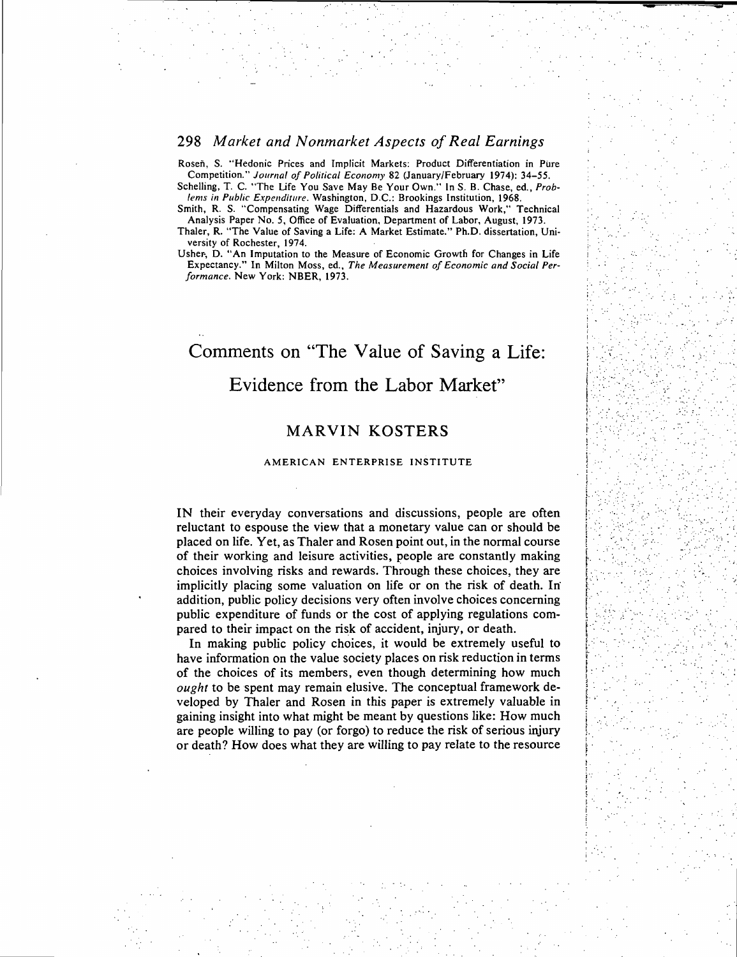Rosen, S. "Hedonic Prices and Implicit Markets: Product Differentiation in Pure Competition." Journal of Political Economy 82 (January/February 1974): 34—55.

Schelling, T. C. "The Life You Save May Be Your Own." In S. B. Chase, ed., Prob lems in Public Expenditure. Washington, D.C.: Brookings Institution, 1968.

Smith, R. S. "Compensating Wage Differentials and Hazardous Work," Technical Analysis Paper No. 5, Office of Evaluation, Department of Labor, August, 1973.

Thaler, R. "The Value of Saving a Life: A Market Estimate." Ph.D. dissertation, University of Rochester, 1974.

Usher., D. "An Imputation to the Measure of Economic Growth for Changes in Life Expectancy." In Milton Moss, ed., The Measurement of Economic and Social Performance. New York: NBER, 1973.

# Comments on "The Value of Saving a Life:

# Evidence from the Labor Market"

## MARVIN KOSTERS

#### AMERICAN ENTERPRISE INSTITUTE

IN their everyday conversations and discussions, people are often reluctant to espouse the view that a monetary value can or should be placed on life. Yet, as Thaler and Rosen point out, in the normal course of their working and leisure activities, people are constantly making choices involving risks and rewards. Through these choices, they are implicitly placing some valuation on life or on the risk of death. In addition, public policy decisions very often involve choices concerning public expenditure of funds or the cost of applying regulations compared to their impact on the risk of accident, injury, or death.

In making public policy choices, it would be extremely useful to have information on the value society places on risk reduction in terms of the choices of its members, even though determining how much ought to be spent may remain elusive. The conceptual framework developed by Thaler and Rosen in this paper is extremely valuable in gaining insight into what might be meant by questions like: How much are people willing to pay (or forgo) to reduce the risk of serious injury or death? How does what they are willing to pay relate to the resource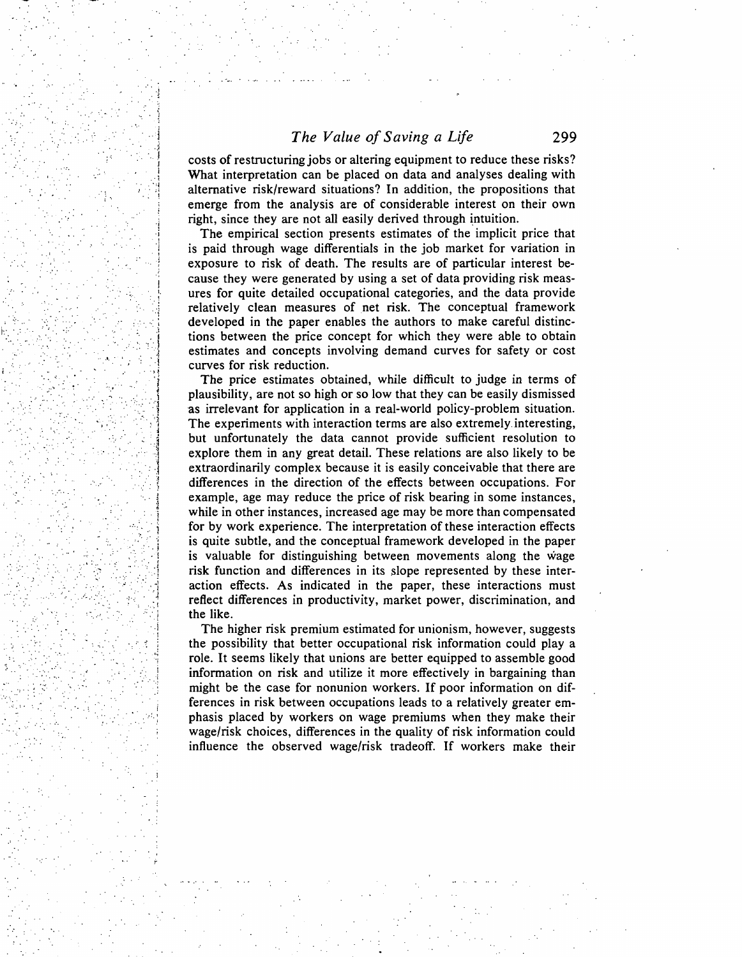.1

ă.

—.1

costs of restructuring jobs or altering equipment to reduce these risks? What interpretation can be placed on data and analyses dealing with alternative risk/reward situations? In addition, the propositions that emerge from the analysis are of considerable interest on their own right, since they are not all easily derived through intuition.

The empirical section presents estimates of the implicit price that is paid through wage differentials in the job market for variation in exposure to risk of death. The results are of particular interest because they were generated by using a set of data providing risk measures for quite detailed occupational categories, and the data provide relatively clean measures of net risk. The conceptual framework developed in the paper enables the authors to make careful distinctions between the price concept for which they were able to obtain estimates and concepts involving demand curves for safety or cost curves for risk reduction.

The price estimates obtained, while difficult to judge in terms of plausibility, are not so high or so low that they can be easily dismissed as irrelevant for application in a real-world policy-problem situation. The experiments with interaction terms are also extremely. interesting, but unfortunately the data cannot provide sufficient resolution to explore them in any great detail. These relations are also likely to be extraordinarily complex because it is easily conceivable that there are differences in the direction of the effects between occupations. For example, age may reduce the price of risk bearing in some instances, while in other instances, increased age may be more than compensated for by work experience. The interpretation of these interaction effects is quite subtle, and the conceptual framework developed in the paper is valuable for distinguishing between movements along the risk function and differences in its slope represented by these interaction effects. As indicated in the paper, these interactions must reflect differences in productivity, market power, discrimination, and the like.

The higher risk premium estimated for unionism, however, suggests the possibility that better occupational risk information could play a role. It seems likely that unions are better equipped to assemble good information on risk and utilize it more effectively in bargaining than might be the case for nonunion workers. If poor information on differences in risk between occupations leads to a relatively greater emphasis placed by workers on wage premiums when they make their wage/risk choices, differences in the quality of risk information could influence the observed wage/risk tradeoff. If workers make their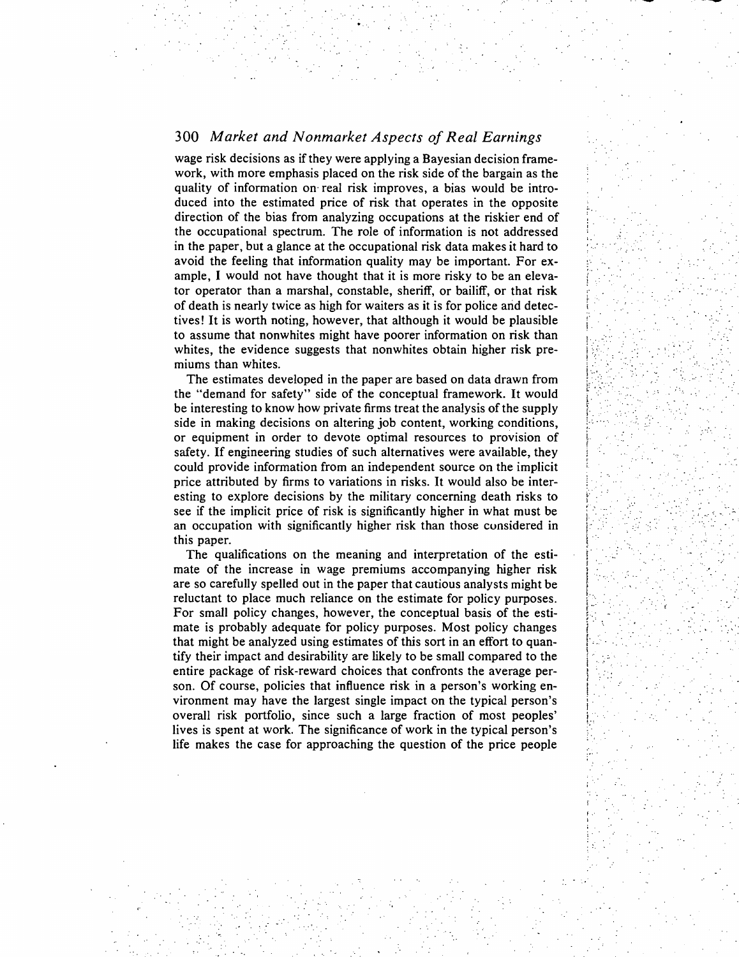wage risk decisions as if they were applying a Bayesian decision framework, with more emphasis placed on the risk side of the bargain as the quality of information on- real risk improves, a bias would be introduced into the estimated price of risk that operates in the opposite direction of the bias from analyzing occupations at the riskier end of the occupational spectrum. The role of information is not addressed in the paper, but a glance at the occupational risk data makes it hard to avoid the feeling that information quality may be important. For example, I would not have thought that it is more risky to be an elevator operator than a marshal, constable, sheriff, or bailiff, or that risk of death is nearly twice as high for waiters as it is for police and detectives! It is worth noting, however, that although it would be plausible to assume that nonwhites might have poorer information on risk than whites, the evidence suggests that nonwhites obtain higher risk premiums than whites.

The estimates developed in the paper are based on data drawn from the "demand for safety" side of the conceptual framework. It would be interesting to know how private firms treat the analysis of the supply side in making decisions on altering job content, working conditions, or equipment in order to devote optimal resources to provision of safety. If engineering studies of such alternatives were available, they could provide information from an independent source on the implicit price attributed by firms to variations in risks. It would also be interesting to explore decisions by the military concerning death risks to see if the implicit price of risk is significantly higher in what must be an occupation with significantly higher risk than those considered in this paper.

The qualifications on the meaning and interpretation of the estimate of the increase in wage premiums accompanying higher risk are so carefully spelled out in the paper that cautious analysts might be reluctant to place much reliance on the estimate for policy purposes. For small policy changes, however, the conceptual basis of the estimate is probably adequate for policy purposes. Most policy changes that might be analyzed using estimates of this sort in an effort to quantify their impact and desirability are likely to be small compared to the entire package of risk-reward choices that confronts the average person. Of course, policies that influence risk in a person's working environment may have the largest single impact on the typical person's overall risk portfolio, since such a large fraction of most peoples' lives is spent at work. The significance of work in the typical person's life makes the case for approaching the question of the price people

I . . . .  $\Gamma_{\rm eff} = 0$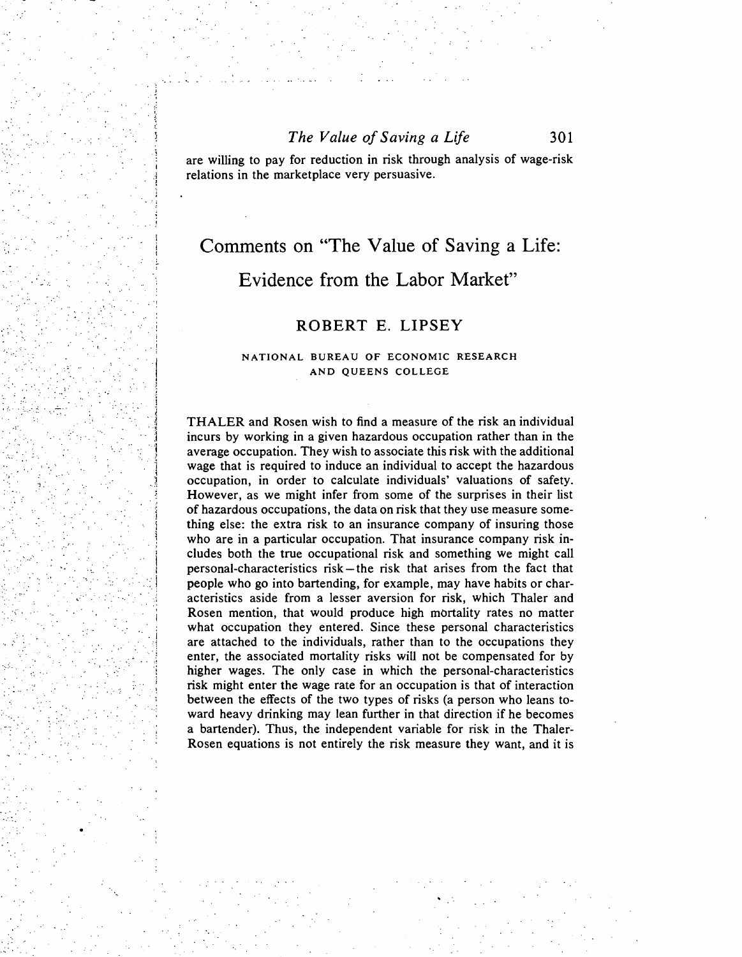are willing to pay for reduction in risk through analysis of wage-risk relations in the marketplace very persuasive.

# Comments on "The Value of Saving a Life:

# Evidence from the Labor Market"

## ROBERT E. LIPSEY

#### NATIONAL BUREAU OF ECONOMIC RESEARCH AND QUEENS COLLEGE

THALER and Rosen wish to find a measure of the risk an individual incurs by working in a given hazardous occupation rather than in the average occupation. They wish to associate this risk with the additional wage that is required to induce an individual to accept the hazardous occupation, in order to calculate individuals' valuations of safety. However, as we might infer from some of the surprises in their list of hazardous occupations, the data on risk that they use measure something else: the extra risk to an insurance company of insuring those who are in a particular occupation. That insurance company risk includes both the true occupational risk and something we might call personal-characteristics risk—the risk that arises from the fact that people who go into bartending, for example, may have habits or characteristics aside from a lesser aversion for risk, which Thaler and Rosen mention, that would produce high mortality rates no matter what occupation they entered. Since these personal characteristics are attached to the individuals, rather than to the occupations they enter, the associated mortality risks will not be compensated for by higher wages. The only case in which the personal-characteristics risk might enter the wage rate for an occupation is that of interaction between the effects of the two types of risks (a person who leans toward heavy drinking may lean further in that direction if he becomes a bartender). Thus, the independent variable for risk in the Thaler-Rosen equations is not entirely the risk measure they want, and it is

 $\overline{\phantom{a}}$ 

.1